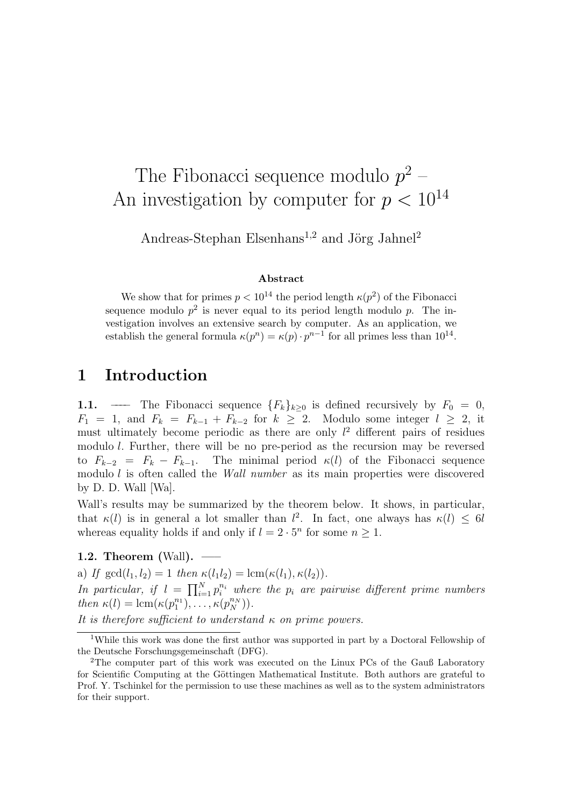# The FIDONACCI sequence modulo  $p^2$  –<br>investigation by computer for  $n < 1$ An investigation by computer for  $p < 10$

Andreas-Stephan Elsenhans<sup>1,2</sup> and Jörg Jahnel<sup>2</sup>

**Abstract**<br>We show that for primes  $p < 10^{14}$  the period length  $\kappa(p^2)$  of the Fibonacci sequence modulo  $p^2$  is never equal to its period length modulo p. The investigation involves an extensive search by computer. As an application, we vergences involves an extensive search by computer and approximately we<br>octoblish the conoral formula  $\nu(m^n) = \nu(n)$ ,  $n^{n-1}$  for all primes loss than  $10^{14}$ establish the general formula  $\kappa(p^{\alpha}) = \kappa(p) \cdot p^{\alpha-1}$  for all primes less than 10.

### 1 Introduction

**1.1.** —— The Fibonacci sequence  ${F_k}_{k\geq0}$  is defined recursively by  $F_0 = 0$ ,  $F_1 = 1$ , and  $F_k = F_{k-1} + F_{k-2}$  for  $k \geq 2$ . Modulo some integer  $l \geq 2$ , it must ultimately become periodic as there are only  $l^2$  different pairs of residues must ultimately become periodic as there are only  $t^2$  different pairs of residues<br>modulo l. Further, there will be no pre-period as the recursion may be reversed to  $F_{k-2} = F_k - F_{k-1}$ . The minimal period  $\kappa(l)$  of the Fibonacci sequence  $\sum_{k=2}^{\infty}$  =  $\sum_{k=1}^{\infty}$  =  $\sum_{k=1}^{\infty}$  = Fe  $\sum_{k=1}^{\infty}$  (i.e.  $\sum_{k=1}^{\infty}$  of the Fibonacci sequence is the main properties were discovered modulo as created the Called the Wall number as its main properties were discovered.<br>by D\_D\_Wall [Wal by D. D. Wall [Wa].<br>Wall's results may be summarized by the theorem below. It shows, in particular,

When  $\varepsilon$  results may be summarized by the theorem below. It shows, in particular, whereas equality holds if and only if  $l = 2$ . 7. In fact, one always has  $\kappa(t) \leq 0$ l whereas equality holds if and only if  $i = 2 \cdot 5$  for some  $n \ge 1$ .

**1.2. Theorem (Wall).** —–<br>a) If  $gcd(l_1, l_2) = 1$  then  $\kappa(l_1 l_2) = lcm(\kappa(l_1), \kappa(l_2)).$ 

In particular, if  $l = \prod_{i=1}^{N} p_i^{n_i}$  where the  $p_i$  are pairwise different prime numbers<br>then  $\kappa(l) = \text{lcm}(\kappa(n^{n_1}) - \kappa(n^{n_N}))$ then  $\kappa(t) = \text{lcm}(\kappa(p_1^{-1}), \ldots, \kappa(p_N^{-N}))$ 

It is therefore sufficient to understand  $\kappa$  on prime powers. It is therefore sufficient to understand κ on prime powers.

while this work was done the first author was supported in part by a Doctoral Fellowship of<br>Deutsche Forschungsgemeinschaft (DFC) the Deutsche Forschungsgemeinschaft (DFG).<br><sup>2</sup>The computer part of this work was executed on the Linux PCs of the Gauß Laboratory

for Scientific Computing at the Göttingen Mathematical Institute. Both authors are grateful to  $\frac{1}{2}$  for Scientific Computing at the Güessian to the Güessian Mathematical Institute. Both a system administrators are grateful to the system administrators are grateful to the system administrators are graded to the Prof. Y. Tschinkel for the permission to use these machines as well as to the system administrators for their support.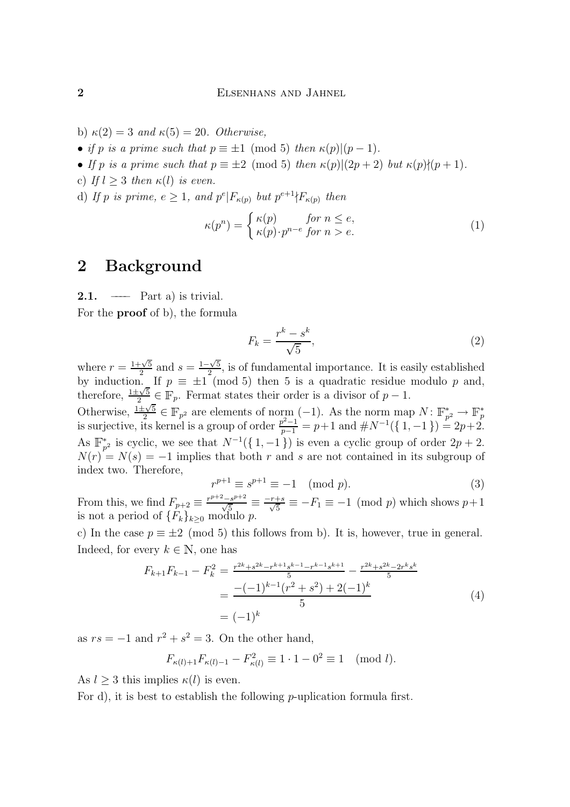- b)  $\kappa(2) = 3$  and  $\kappa(5) = 20$ . Otherwise,<br>
 if p is a prime such that  $p \equiv \pm 1 \pmod{5}$  then  $\kappa(p)|(p-1)$ .
- If p is a prime such that  $p \equiv \pm 2 \pmod{5}$  then  $\kappa(p)|(2p+2)$  but  $\kappa(p)/(p+1)$ .
- c) If  $l > 3$  then  $\kappa(l)$  is even.
- c) If l ≥ 3 then κ(l) is even. (d) If p is prime,  $e \geq 1$ , and  $p \upharpoonright F_{\kappa(p)}$  but  $p \upharpoonright T_{\kappa(p)}$  then

$$
\kappa(p^n) = \begin{cases} \kappa(p) & \text{for } n \le e, \\ \kappa(p) \cdot p^{n-e} & \text{for } n > e. \end{cases}
$$
 (1)

# $\overline{a}$

**2.1.** —— Part a) is trivial.<br>For the **proof** of b), the formula For the proof of b), the formula

$$
F_k = \frac{r^k - s^k}{\sqrt{5}},\tag{2}
$$

where  $r = \frac{1+\sqrt{5}}{2}$  and  $s = \frac{1-\sqrt{5}}{2}$ <br>by induction If  $n = +1$  (*r* by induction. If  $p \equiv \pm 1 \pmod{5}$  then 5 is a quadratic residue modulo p and, by induction. If  $p = 1$  (mod 5) then 5 is a quadratic residue modulo p and,<br>therefore,  $\frac{1 \pm \sqrt{5}}{2} \in \mathbb{F}_p$ . Fermat states their order is a divisor of  $p - 1$ . 2 ∈ p. Fermat states their order is a divisor of p − 1.<br> $\pm\sqrt{5}$  ∈ ID = 1.  $\pm\sqrt{6}$  (− 1) = A + 1. Otherwise,  $\frac{1 \pm \sqrt{5}}{2} \in \mathbb{F}_{p^2}$  are elements of norm  $(-1)$ . As the norm map  $N: \mathbb{F}_{p^2}^* \to \mathbb{F}_p^*$ <br>is surjective, its kernel is a group of order  $\frac{p^2-1}{p-1} = p+1$  and  $\#N^{-1}(\{1,-1\}) = 2p+2$ . As  $\mathbb{F}_{p^2}$  is cyclic, we see that  $N^{-1}(1,-1)$  is even a cyclic group of order  $2p + 2$ .<br> $N(r) = N(s) = -1$  implies that both r and s are not contained in its subgroup of  $N(r) = N(s) = -1$  implies that both r and s are not contained in its subgroup of index two. Therefore,  $\sum_{i=1}^{n}$ 

$$
r^{p+1} \equiv s^{p+1} \equiv -1 \pmod{p}.\tag{3}
$$

From this, we find  $F_{p+2} \equiv \frac{p+2s}{\sqrt{5}} \equiv \frac{-r+s}{\sqrt{5}} \equiv -F_1 \equiv -1 \pmod{p}$  which shows  $p+1$  $\sum_{i=1}^{n}$  is not a period of  ${F_k}$   $\sum_{i=1}^{n}$   $\sum_{i=1}^{n}$  of  ${F_k}$   $\sum_{i=1}^{n}$ 

c) In the case  $p \equiv \pm 2 \pmod{5}$  this follows from b). It is, however, true in general.<br>Indeed, for every  $k \in \mathbb{N}$ , one has

$$
F_{k+1}F_{k-1} - F_k^2 = \frac{r^{2k} + s^{2k} - r^{k+1}s^{k-1} - r^{2k} + s^{2k} - 2r^ks^k}{5}
$$
  
= 
$$
\frac{-(-1)^{k-1}(r^2 + s^2) + 2(-1)^k}{5}
$$
  
= 
$$
(-1)^k
$$
 (4)

as  $rs = -1$  and  $r^2 + s^2 = 3$ . On the other hand,

$$
F_{\kappa(l)+1}F_{\kappa(l)-1} - F_{\kappa(l)}^2 \equiv 1 \cdot 1 - 0^2 \equiv 1 \pmod{l}.
$$

As  $l \geq 3$  this implies  $\kappa(l)$  is even.<br>For d), it is best to establish the following *p*-uplication formula first. For d), it is best to establish the following p-up the following p-up  $\sigma$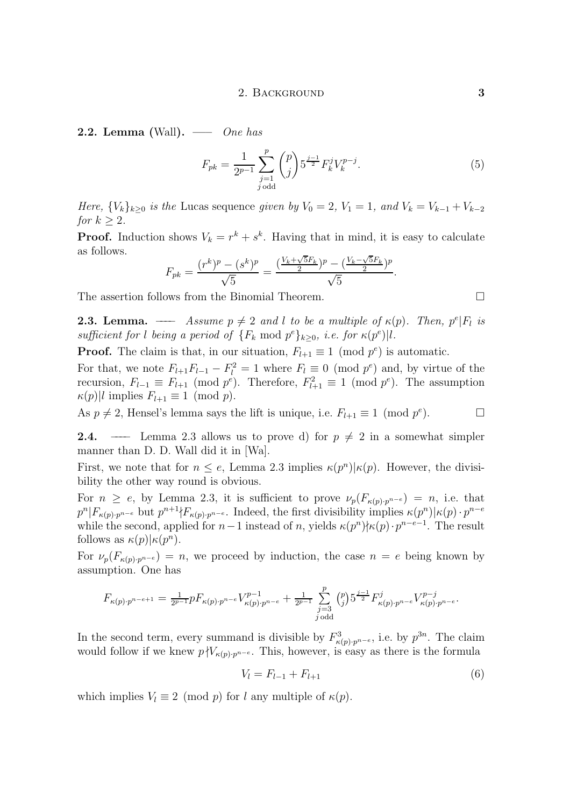**2.2. Lemma** (Wall). — One has

$$
F_{pk} = \frac{1}{2^{p-1}} \sum_{\substack{j=1 \ j \text{ odd}}}^{p} \binom{p}{j} 5^{\frac{j-1}{2}} F_k^j V_k^{p-j}.
$$
 (5)

Here,  ${V_k}_{k\geq 0}$  is the Lucas sequence given by  $V_0 = 2$ ,  $V_1 = 1$ , and  $V_k = V_{k-1} + V_{k-2}$  for  $k \geq 2$ .

 $\sum_{n=1}^{\infty}$ **Proof.** Induction shows  $v_k = r + s$ . Having that in mind, it is easy to calculate

$$
F_{pk} = \frac{(r^k)^p - (s^k)^p}{\sqrt{5}} = \frac{(\frac{V_k + \sqrt{5}F_k}{2})^p - (\frac{V_k - \sqrt{5}F_k}{2})^p}{\sqrt{5}}.
$$

The assertion follows from the Binomial Theorem.

**2.3. Lemma.** ––––– Assume  $p \neq 2$  and l to be a multiple of  $\kappa(p)$ . Then, performance of  $\kappa(p)$  and  $p^e$ , performance of  $\kappa(p)$ . Then, performance of  $\kappa(p)$  and  $p^e$ , performance of  $\kappa(p)$ . Then, performance of **2.3. Lemma.** — Assume  $p \neq 2$  and l to be a multiple of  $\kappa(p)$ . Then,  $p^e|F_l$  is sufficient for t being a period of  $\{F_k \text{ mod } p^c\}_{k\geq 0}$ , i.e. for  $\kappa(p^c)|\iota$ .

**Proof.** The claim is that, in our situation,  $F_{l+1} \equiv 1 \pmod{p^e}$  is automatic.<br>For that, we note  $F_{l+1}F_{l-1} - F_l^2 = 1$  where  $F_l \equiv 0 \pmod{p^e}$  and, by virtue of the For that, we note  $F_{l+1}F_{l-1} - F_l = 1$  where  $F_l = 0$  (mod p ) and, by virtue of the<br>recursion  $F_{l+1} = F_{l+1}$  (mod  $n^e$ ) Therefore  $F^2 = 1$  (mod  $n^e$ ) The assumption  $\kappa(p)$ |l implies  $F_{l+1} \equiv 1 \pmod{p}$ . ). Therefore,  $F_{l+1} \equiv 1 \pmod{p^2}$ . The assumption

 $(k)$ || implies  $=k+1$  = (instant). As  $p \neq 2$ , Hensel's lemma says the lift is unique, i.e.  $F_{l+1} \equiv 1 \pmod{p^e}$ .

**2.4.** —— Lemma 2.3 allows us to prove d) for  $p \neq 2$  in a somewhat simpler manner than D. D. Wall did it in [Wa].

manner than D. D. Wall did it in [Wa]. First, we note that for  $n \le e$ , Lemma 2.5 implies  $\kappa(p<sup>c</sup>)|\kappa(p)$ . However, the divisi-<br>bility the other way round is obvious bility the other way round is obvious.<br>For  $n \ge e$ , by Lemma 2.3, it is sufficient to prove  $\nu_p(F_{\kappa(p)\cdot p^{n-e}}) = n$ , i.e. that

 $F_n = \frac{1}{n}$  by Lemma 2.3, it is sufficient to prove  $p_1(x_k(p)p^{n-1})$  by not that  $p^{n}|F_{\kappa(p)}, p^{n-e}$  but  $p^{n+1}|F_{\kappa(p)}, p^{n-e}$ . Indeed, the first divisibility implies  $\kappa(p^{n})|\kappa(p)\cdot p^{n-e}$ <br>while the second applied for  $n=1$  instead of n, vialds  $\kappa(m^{n})k\kappa(n), n^{n-e-1}$ . The result while the second, applied for  $n-1$  instead of n, yields  $\kappa(p^*)\gamma\kappa(p)\cdot p$  −−1. The result follows as  $\kappa(n)|\kappa(n^n)$ . follows as  $\kappa(p)|\kappa(p^n)$ .

For  $\nu_p(F_{\kappa(p)\cdot p^{n-e}}) = n$ , we proceed by induction, the case  $n = e$  being known by assumption. One has assumption.  $\mathbf{r}$ 

$$
F_{\kappa(p)\cdot p^{n-e+1}} = \frac{1}{2^{p-1}} p F_{\kappa(p)\cdot p^{n-e}} V_{\kappa(p)\cdot p^{n-e}}^{p-1} + \frac{1}{2^{p-1}} \sum_{\substack{j=3 \ j \text{ odd}}}^{p} {p \choose j} 5^{\frac{j-1}{2}} F_{\kappa(p)\cdot p^{n-e}}^{j} V_{\kappa(p)\cdot p^{n-e}}^{p-j}.
$$

In the second term, every summand is divisible by  $F_{\kappa(p), p^{n-\epsilon}}$ , i.e. by p<sup>33</sup>. The claim<br>would follow if we know  $nN/\epsilon$ , and This however is easy as there is the formula would follow if we knew  $p \nmid V_{\kappa(p)\cdot p^{n-e}}$ . This, however, is easy as there is the formula

$$
V_l = F_{l-1} + F_{l+1}
$$
\n(6)

which implies  $V_l \equiv 2 \pmod{p}$  for l any multiple of  $\kappa(p)$ .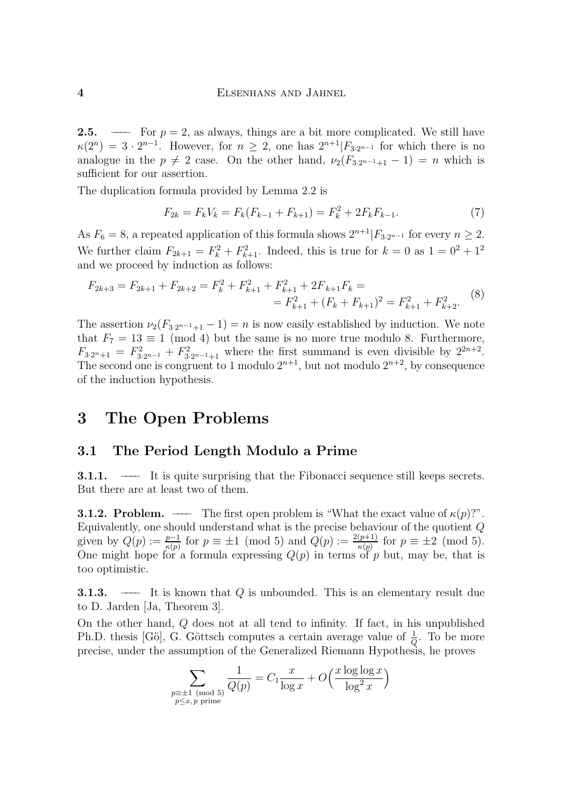**2.5.** –––– For  $p = 2$ , as always, things are a bit more complicated. We still have  $\kappa(2^n) = 3 \cdot 2^{n-1}$ . However, for  $n \geq 2$ , one has  $2^{n+1} | F_{3 \cdot 2^{n-1}}$  for which there is no  $\kappa(2^n) = 3 \cdot 2^{n-1}$ . However, for  $n \ge 2$ , one has  $2^{n+1}[F_{3,2^{n-1}}]$  for which there is no<br>analogue in the  $n \ne 2$  case. On the other hand  $\mu(E_{3,n+1:t-1}) = n$  which is  $\frac{1}{2}$  case. On the other hand,  $\frac{1}{2}$  (F3<sup>2</sup>  $\frac{1}{2}$  +1  $\frac{1}{2}$ )  $\cdots$  where is sufficient for our assertion.<br>The duplication formula provided by Lemma 2.2 is

 $T_{\rm F}$  due duplication for  $\frac{1}{2}$ 

$$
F_{2k} = F_k V_k = F_k (F_{k-1} + F_{k+1}) = F_k^2 + 2F_k F_{k-1}.
$$
\n(7)

As  $F_6 = 8$ , a repeated application of this formula shows  $2^{n+1} | F_{3 \cdot 2^{n-1}}$  for every  $n \ge 2$ . We further claim  $F_{2k+1} = F_{k} + F_{k+1}$ . Indeed, this is true for  $k = 0$  as  $1 = 0^2 + 1^2$ <br>and we proceed by induction as follows:  $\frac{1}{2}$  and we proceed by induction as follows:

$$
F_{2k+3} = F_{2k+1} + F_{2k+2} = F_k^2 + F_{k+1}^2 + F_{k+1}^2 + 2F_{k+1}F_k =
$$
  
=  $F_{k+1}^2 + (F_k + F_{k+1})^2 = F_{k+1}^2 + F_{k+2}^2.$  (8)

The assertion  $\nu_2(F_{3\cdot2^{n-1}+1}-1) = n$  is now easily established by induction. We note that  $F_7 = 13 \equiv 1 \pmod{4}$  but the same is no more true modulo 8. Furthermore,  $F_{R,corst} = F^2$   $\pm F^2$  where the first summand is even divisible by  $2^{2n+2}$  $F_{3,2n+1} = F_{3,2n-1} + F_{3,2n-1+1}$  where the first summand is even divisible by  $2^{n+2}$ . The second one is congruent to 1 modulo  $2^{n+2}$ , but not modulo  $2^{n+2}$ , by consequence<br>of the induction by pothesis of the induction hypothesis.

## 3 The Open Problems

#### 3.1 The Period Length Modulo a Prime

3.1.1. –––– It is quite surprising that the Fibonacci sequence still keeps secrets.

**3.1.2. Problem.** ——– The first open problem is "What the exact value of  $\kappa(p)$ ?". Equivalently, one should understand what is the precise behaviour of the quotient  $Q$ equivalently,  $O(n) := \frac{p-1}{p}$  for  $n = \pm 1 \pmod{5}$  and  $O(n) := \frac{2(p+1)}{p}$  for  $n = \pm 2 \pmod{5}$ given by  $Q(p) := \frac{E(p)}{k(p)}$  for  $p \equiv \pm 1 \pmod{3}$  and  $Q(p) := \frac{Q(p)}{k(p)}$ <br>One might hope for a formula expressing  $Q(p)$  in terms of r  $\kappa(p)$  for  $\kappa(p)$  for  $\kappa(p)$ .  $\sigma$  one might hope for a formula expression of p but,  $\sigma$  by  $\sigma$ ,  $\sigma$  is that is that is that is that is that is that is that is that is that is that is that is that is that is that is that is that is that is that is too optimistic.

3.1.3. –––– It is known that Q is unbounded. This is an elementary result due

On the other hand,  $Q$  does not at all tend to infinity. If fact, in his unpublished On the other hand,  $\zeta$  also not at all tend to infinity. If fact, in the angle  $\eta$  in the more Ph.D. thesis [Go], G. Gottsch computes a certain average value of  $\frac{1}{Q}$ <br>precise, under the assumption of the Ceneralized Riemann Hypothesi Q<br>cic he provec precise, under the assumption of the assumption of the Generalized  $\mathcal{F}_{\mathbf{F}}$  and  $\mathcal{F}_{\mathbf{F}}$  and  $\mathcal{F}_{\mathbf{F}}$ 

$$
\sum_{\substack{p \equiv \pm 1 \pmod{5} \\ p \le x, p \text{ prime}}} \frac{1}{Q(p)} = C_1 \frac{x}{\log x} + O\left(\frac{x \log \log x}{\log^2 x}\right)
$$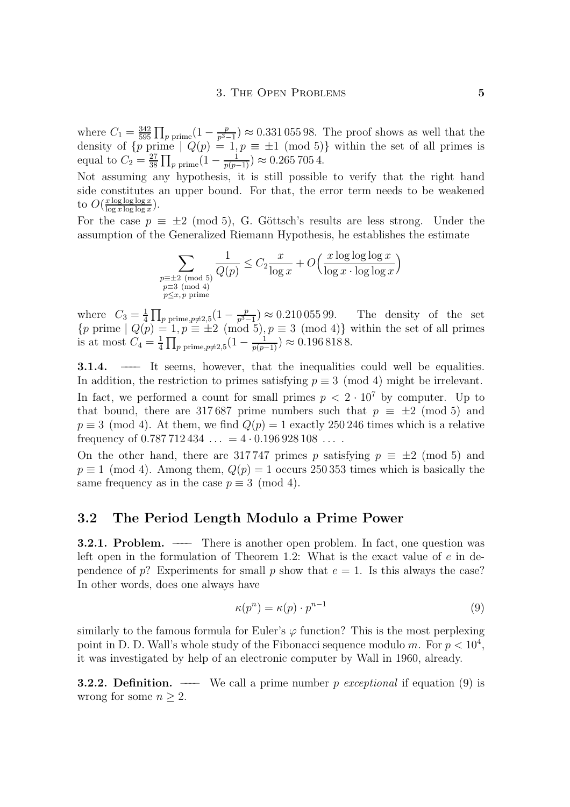where  $C_1 = \frac{1}{595}$ <br>density of  $\int n r$  $\prod_{p \text{ prime}}(1 - \frac{p}{p^3 - 1}) \approx 0.331\,055\,98.$  The proof shows as well that the rime  $\bigcup_{p \text{ prime}} (1 - \frac{p}{p^3 - 1}) \approx 0.331\,055\,98.$  The proof shows as well that the  $q_{\text{equal to } C_0} = \frac{27}{1} \prod_{i=1}^{n} \frac{1}{(1 - \frac{1}{n})} \approx 0.2657054$ equal to  $C_2 = \frac{27}{38} \prod_{p \text{ prime}} (1 - \frac{1}{p(p-1)}) \approx 0.265\,705\,4.$ <br>Note when the definition of the same in the same in the same in the same in the same in the same in the same in the same in the same in the same in the same

Not assuming any hypothesis, it is still possible to verify that the right hand side constitutes an upper bound. For that, the error term needs to be weakened  $\log \log \log x$ to  $U(\frac{\log x \log \log x}{\log x \log \log x})$ .

For the case  $p = 2$  (mode), G. Gottsche results are less strong. Under the assumption of the Generalized Riemann  $H_y$  pothesis, he establishes the estimate

$$
\sum_{\substack{p\equiv \pm 2 \pmod{5} \\ p\equiv 3 \pmod{4} \\ p\leq x, p \text{ prime}}} \frac{1}{Q(p)} \leq C_2 \frac{x}{\log x} + O\left(\frac{x \log \log \log x}{\log x \cdot \log \log x}\right)
$$

where  $C_3 = \frac{1}{4}$ <br> $\int_R$  prime  $\int_C$  $\prod_{p \text{ prime}, p \neq 2,5} (1 - \frac{p}{p^3 - 1}) \approx 0.210\,055\,99.$  The density of the set  ${p \choose 1}$  =  ${p \choose 2}$   ${p \choose 3}$   ${p \choose 4}$   ${p \choose 5}$   ${p \choose 6}$   ${p \choose 8}$   ${p \choose 8}$   ${p \choose 8}$   ${p \choose 8}$   ${p \choose 9}$   ${p \choose 9}$   ${p \choose 9}$   ${p \choose 8}$   ${p \choose 8}$   ${p \choose 9}$   ${p \choose 9}$   ${p \choose 9}$   ${p \choose 9}$   ${p \choose 9}$   ${p \choose 9}$   ${p \choose 9}$ is at most  $C_4 = \frac{1}{4}$  $\prod_{p \text{ prime}, p \neq 2,5} (1 - \frac{1}{p(p-1)}) \approx 0.1968188.$ 

**3.1.4.** ——– It seems, however, that the inequalities could well be equalities.<br>In addition, the restriction to primes satisfying  $p \equiv 3 \pmod{4}$  might be irrelevant. In fact, we performed a count for small primes  $p < 2 \cdot 10^7$  by computer. Up to that bound, there are 317687 prime numbers such that  $p \equiv \pm 2 \pmod{5}$  and  $p \equiv 3 \pmod{4}$ . At them, we find  $Q(p) = 1$  exactly 250 246 times which is a relative frequency of  $0.787712434... = 4 \cdot 0.196928108...$ 

On the other hand, there are 317747 primes p satisfying  $p \equiv \pm 2 \pmod{5}$  and  $p \equiv 1 \pmod{4}$ . Among them,  $Q(p) = 1$  occurs 250 353 times which is basically the p =  $(1.50 \text{ m/s})$ . Therefore,  $Q(r)$  = 1 occurs 250 353 times which is basically the same frequency as in the case  $\mathbf{r} = (1, \ldots, 1)$ .

### 3.2 The Period Length Modulo a Prime Power

**3.2.1. Problem.** ——– There is another open problem. In fact, one question was left open in the formulation of Theorem 1.2: What is the exact value of  $e$  in dependence of p? Experiments for small p show that  $e = 1$ . Is this always the case? pendence of  $p$ ? Experiments for small p show that  $e$  = 1. Is this always the case? In other words, does one always have

$$
\kappa(p^n) = \kappa(p) \cdot p^{n-1} \tag{9}
$$

similarly to the famous formula for Euler's  $\varphi$  function? This is the most perplexing point in D. D. Wall's whole study of the Fibonacci sequence modulo m. For  $p < 10^4$ , point in D. D. Wall s whole study of the Fibonacci sequence modulo m. For  $p < 10^4$ ,<br>it was investigated by help of an electronic computer by Wall in 1960, already it was investigated by  $\mathbf{F}$  in the anti-deformation  $\mathbf{F}$  and  $\mathbf{F}$  in  $\mathbf{F}$  in 1960, alleady.

**3.2.2.** Definition. —– We call a prime number p exceptional if equation (9) is wrong for some  $n \geq 2$ .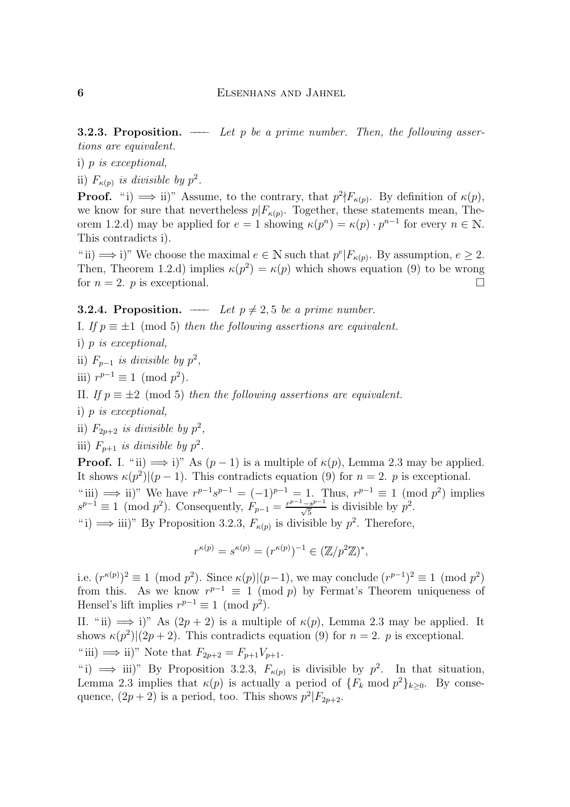**3.2.3. Proposition.** —— Let p be a prime number. Then, the following assertions are equivalent.

i)  $p$  is exceptional,

 $\sum_{i=1}^{n} p_i$  is exceptional, ii)  $\Gamma_{\kappa(p)}$  is aivisible by  $p^2$ .<br>  $\Gamma$ 

**Proof.** "i)  $\implies$  ii)" Assume, to the contrary, that  $p^2 \nmid F_{\kappa(p)}$ . By definition of  $\kappa(p)$ , we know for sure that nevertheless  $p|F_{\kappa(p)}$ . Together, these statements mean, Theorgon for sure that  $\lim_{k \to \infty} F_{\mathcal{F}}(p)$ . To get  $\lim_{k \to \infty} F_{\mathcal{F}}(n)$ ,  $n^{n-1}$  for every  $n \in \mathbb{N}$ . orem 1.2.d) may be applied for  $e = 1$  showing  $\kappa(p<sup>2</sup>) = \kappa(p) \cdot p<sup>n</sup>$  for every  $n \in \mathbb{N}$ .

This contradicts i).<br>"ii)  $\implies$  i)" We choose the maximal  $e \in \mathbb{N}$  such that  $p^e|F_{\kappa(p)}$ . By assumption,  $e \geq 2$ .  $\mu$  iii)  $\Rightarrow$  i) we choose the maximal  $e \in \mathbb{N}$  such that p  $|F_{\kappa}(p)|$ . By assumption,  $e \geq 2$ .<br>Then Theorem 1.2 d) implies  $\kappa(n^2) = \kappa(n)$  which shows equation (0) to be wrong Then, Theorem 1.2.d) implies  $\kappa(p^2) = \kappa(p)$  which shows equation (9) to be wrong<br>for  $p = 2$ , n is exceptional for  $n = 2$ . p is exceptional.

 $\begin{array}{ccc} \mathbf{1} & \mathbf{1} & \mathbf{1} & \mathbf{1} & \mathbf{1} & \mathbf{1} & \mathbf{1} & \mathbf{1} & \mathbf{1} & \mathbf{1} & \mathbf{1} & \mathbf{1} & \mathbf{1} & \mathbf{1} & \mathbf{1} & \mathbf{1} & \mathbf{1} & \mathbf{1} & \mathbf{1} & \mathbf{1} & \mathbf{1} & \mathbf{1} & \mathbf{1} & \mathbf{1} & \mathbf{1} & \mathbf{1} & \mathbf{1} & \mathbf{1} & \mathbf{1} & \mathbf{1} & \mathbf$  $\sum_{i=1}^{n} P_i = \sum_{i=1}^{n} (m \cdot \hat{r})$  then the following assertions are equivalent.

 $\sum_{i=1}^{n} p_i$  is exceptional, ii)  $F_{p-1}$  is divisible by  $p^2$ ,<br>  $\dots$   $n-1$   $\longrightarrow$   $($   $\longrightarrow$   $($ 

$$
iii) r^{p-1} \equiv 1 \pmod{p^2}.
$$

 $\sum_{i=1}^{J}$ 

 $\sum_{i=1}^{n} p_i$  is exceptional, ii)  $F_{2p+2}$  is divisible by  $p^2$ ,<br> $\cdots$ ,  $F_{2p+2}$  is divisible by  $p^2$ ,

iii)  $F_{p+1}$  is divisible by  $p^2$ .<br>**Proof.** I. "ii)  $\implies$  i)" As  $(p-1)$  is a multiple of  $\kappa(p)$ , Lemma 2.3 may be applied. It shows  $\kappa(p^2)|(p-1)$ . This contradicts equation (9) for  $n=2$ . p is exceptional. It shows  $\kappa(p_j)(p-1)$ . This contradicts equation (9) for  $n = 2$ . p is exceptional.  $\lim_{n \to \infty}$  ii) we have  $r^p - s^p = (-1)^p - 1$ . Thus,  $r^p - 1 = 1$  (mod p<sup>2</sup>) implies  $s^{p-1} \equiv 1 \pmod{p^2}$ . Consequently,  $F_{p-1} = \frac{r^2 - 3p^2}{\sqrt{5}}$  is divisible by  $p^2$ .<br>
"is divisible by  $n^2$ . Therefore " i)  $\implies$  iii)" By Proposition 3.2.3,  $F_{\kappa(p)}$  is divisible by  $p^2$ . Therefore,

$$
r^{\kappa(p)} = s^{\kappa(p)} = (r^{\kappa(p)})^{-1} \in (\mathbb{Z}/p^2\mathbb{Z})^*,
$$

i.e.  $(r^{n,p})^2 \equiv 1 \pmod{p}$ . Since  $\kappa(p)|(p-1)$ , we may conclude  $(r^{p-1})^2 \equiv 1 \pmod{p}$ <br>from this As we know  $r^{p-1} \equiv 1 \pmod{p}$  by Fermat's Theorem uniqueness of from this. As we know  $T^* = 1 \pmod{p}$  by Fermat's Theorem uniqueness of Hensel's lift implies  $r^{p-1} = 1 \pmod{p^2}$ Hensel's lift implies  $r^{p-1} \equiv 1 \pmod{p^2}$ .<br>II. "ii)  $\implies$  i)" As  $(2p + 2)$  is a multiple of  $\kappa(p)$ , Lemma 2.3 may be applied. It

 $\sum_{k=1}^{\infty} \frac{1}{k^2} \left( \frac{1}{2n+2} \right)^k$ . This contradicts equation (9) for  $n-2$ , n is exceptional shows  $\kappa(p^2)|(2p + 2)$ . This contradicts equation (9) for  $n = 2$ . p is exceptional. " iii)  $\implies$  ii)" Note that  $F_{2p+2} = F_{p+1}V_{p+1}$ .<br>"i)  $\implies$  iii)" By Proposition 3.2.3,  $F_{\kappa(p)}$  is divisible by  $p^2$ . In that situation,

 $\Gamma$  i)  $\implies$  iii) By Proposition 3.2.3,  $F_{\kappa}(p)$  is divisible by p<sup>-</sup>. In that situation,<br>Lemma 2.3 implies that  $\kappa(n)$  is actually a period of  $F$  mod  $n^2$ , a By conse-Lemma 2.3 implies that  $\kappa(p)$  is actually a period of  $\{F_k \text{ mod } p\}$ <sub>k</sub> $\geq 0$ . By conse-<br>quance  $(2n+2)$  is a period too. This shows  $n^2|F_{k-1,2}|$ quence,  $(2p+2)$  is a period, too. This shows  $p^2|F_{2p+2}$ .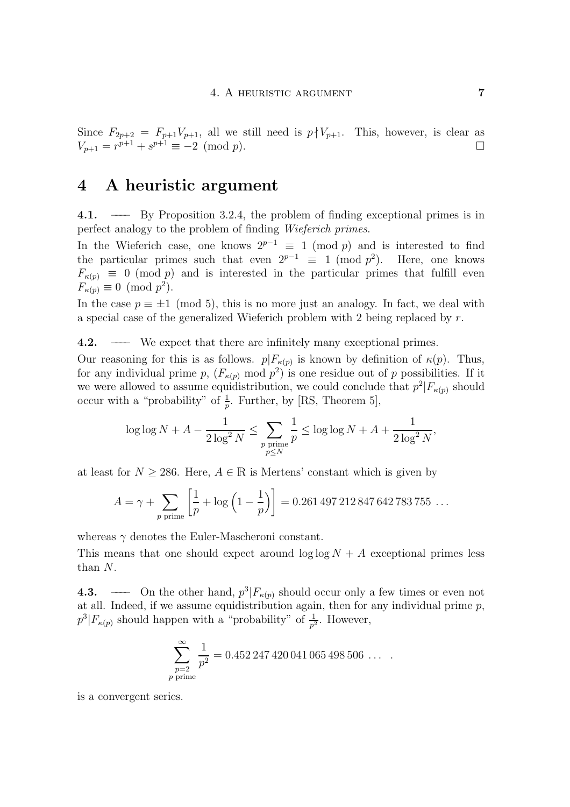Since  $F_{2p+2} = F_{p+1}V_{p+1}$ , all we still need is  $p \nmid V_{p+1}$ . This, however, is clear as  $V_{n+1} = r^{p+1} + s^{p+1} \equiv -2 \pmod{p}$ .  $V_{p+1} = r^{p+1} + s^{p+1} \equiv -2 \pmod{p}.$ 

## $\frac{1}{2}$  and  $\frac{1}{2}$  arguments are  $\frac{1}{2}$

4.1. ——– By Proposition 3.2.4, the problem of finding exceptional primes is in perfect analogy to the problem of finding *Wieferich primes*.

In the Wieferich case, one knows  $2^{p-1} \equiv 1 \pmod{p}$  and is interested to find In the Wieferich case, one knows  $2^{p-1} = 1 \pmod{p}$  and is interested to find<br>the particular primes such that even  $2^{p-1} = 1 \pmod{n^2}$ . Here, one knows the particular primes such that even  $2^r = 1$  (mod p). Here, one knows<br> $F_{\ell,2} = 0$  (mod p) and is interested in the particular primes that fulfill even  $F_{\kappa(p)} \equiv 0 \pmod{p}$  and is interested in the particular primes that fulfill even  $F_{\kappa(p)} \equiv 0 \pmod{p^2}$ .<br>In the case  $p \equiv \pm 1 \pmod{5}$ , this is no more just an analogy. In fact, we deal with

a special case of the generalized Wieferich problem with 2 being replaced by  $r$ . a special case of the generalized Wieferich problem with 2 being replaced by r.

4.2. ––––– We expect that there are infinitely many exceptional primes.<br>Our reasoning for this is as follows.  $p|F_{\kappa(p)}$  is known by definition of  $\kappa(p)$ . Thus, for any individual prime p,  $(F_{\kappa(p)} \mod p^2)$  is one residue out of p possibilities. If it for any individual prime  $p$ ,  $(r_{\kappa(p)}$  mod  $p$ ) is one residue out of p possibilities. If it<br>we were allowed to assume equidistribution, we could conclude that  $n^2|F_{\kappa}$  should we were allowed to assume equidistribution, we could conclude that  $p|F_{\kappa}(p)$  should<br>occur with a "probability" of  $\frac{1}{2}$  Further by [RS] Theorem 5] occur with a "probability" of  $\frac{1}{p}$ . Further, by [RS, Theorem 5],

$$
\log \log N + A - \frac{1}{2 \log^2 N} \le \sum_{\substack{p \text{ prime} \\ p \le N}} \frac{1}{p} \le \log \log N + A + \frac{1}{2 \log^2 N},
$$

at least for  $N \geq 286$ . Here,  $A \in \mathbb{R}$  is Mertens' constant which is given by

$$
A = \gamma + \sum_{p \text{ prime}} \left[ \frac{1}{p} + \log \left( 1 - \frac{1}{p} \right) \right] = 0.261\,497\,212\,847\,642\,783\,755\,\ldots
$$

 $\mathbb{R}^n$  denotes the Euler-Mascheroni constant. This means that one should expect around  $\log \log \frac{1}{2}$  +  $\log \frac{1}{2}$  primes less less than N.

4.3. ––––– On the other hand,  $p^3|F_{\kappa(p)}$  should occur only a few times or even not at all. Indeed, if we assume equidistribution again, then for any individual prime  $p$ , at all indeed, if we assume equidistribution again, then for any individual prime p,  $p^{\circ}|F_{\kappa(p)}$  should happen with a "probability" of  $\frac{1}{p^2}$ . However,

$$
\sum_{\substack{p=2 \ p \text{ prime}}}^{\infty} \frac{1}{p^2} = 0.452247420041065498506\ \ldots
$$

is a convergent series.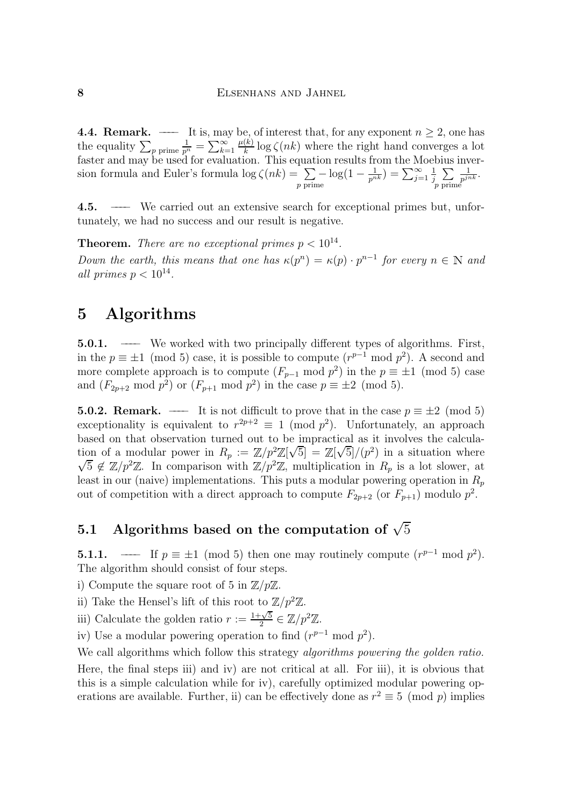the equality  $\sum_{p \text{ prime}} \frac{1}{p^n} = \sum_{k=1}^{\infty} \frac{\mu(k)}{k} \log \zeta(nk)$  where the right hand converges a lot faster and may be used for evaluation. This equation results from the Moebius inver- $\frac{1}{p^n} = \sum_{k=1}^{\infty}$  $\frac{K}{k}$  log  $\zeta(nk)$  where the right hand converges a lot<br>tion. This equation results from the Moebius inversion formula and Euler's formula log  $\zeta(nk) = \sum_{p \text{ prime}} -\log(1 - \frac{1}{p^{nk}}) = \sum_{j=1}^{\infty} \frac{1}{j} \sum_{p \text{ prime}} \frac{1}{p^{jnk}}$ . 1  $\cdot$  $\sum$ p prime  $\overline{p^{jnk}}$ .

 $\frac{1}{2}$ . The case of  $\frac{1}{2}$  is the carried out and currical primes but, under the case of  $\frac{1}{2}$  is not the case of  $\frac{1}{2}$  is not the case of  $\frac{1}{2}$  is not the case of  $\frac{1}{2}$  is not the case of  $\frac{1}{2}$  tunately, we had no success and our result is negative.

**Theorem.** There are no exceptional primes  $p < 10^{-7}$ . Down the earth, this means that one has  $\kappa(p^m) = \kappa(p) \cdot p^m$  for every  $n \in \mathbb{N}$  and  $n!$  primes  $n < 10^{14}$ all primes  $p < 10^{14}$ .

# $\frac{1}{2}$   $\frac{1}{2}$

**5.0.1.** ——– We worked with two principally different types of algorithms. First, in the  $p \equiv \pm 1 \pmod{5}$  case, it is possible to compute  $(r^{p-1} \mod p^2)$ . A second and in the  $p = \pm 1$  (mod 5) case, it is possible to compute  $(r^2 - \text{mod } p)$ . A second and more complete approach is to compute  $(F_{\text{max}} - \text{mod } p^2)$  in the  $n = \pm 1 \pmod{5}$  case more complete approach is to compute  $(F_{p-1} \mod p^2)$  in the p =  $\pm 1 \pmod{3}$  case and  $(F_{2p+2} \mod p^2)$  or  $(F_{p+1} \mod p^2)$  in the case  $p \equiv \pm 2 \pmod{5}$ .

**5.0.2. Remark.** ——– It is not difficult to prove that in the case  $p \equiv \pm 2 \pmod{5}$  exceptionality is equivalent to  $r^{2p+2} \equiv 1 \pmod{p^2}$ . Unfortunately, an approach based on that observation turned out to be impractical as it involves the calculation of a modular power in  $R_p := \mathbb{Z}/p^2\mathbb{Z}[\sqrt{5}] = \mathbb{Z}[\sqrt{5}]/(p^2)$  in a situation where tion of a modular power in  $R_p := \mathbb{Z}/p \mathbb{Z}[\sqrt{3}] = \mathbb{Z}[\sqrt{3}]/(p)$  in a situation where  $\sqrt{5} \notin \mathbb{Z}/p^2\mathbb{Z}$ . In comparison with  $\mathbb{Z}/p^2\mathbb{Z}$ , multiplication in  $R_p$  is a lot slower, at  $5 \notin \mathbb{Z}/p^2\mathbb{Z}$ . In comparison with  $\mathbb{Z}/p^2\mathbb{Z}$ , multiplication in  $R_p$  is a lot slower, at  $R$  at in our (paive) implementations. This puts a modular powering operation in  $R$ least in our (naive) implementations. This puts a modular powering operation in  $\epsilon_p$ out of competition with a direct approach to compute  $F_{2p+2}$  (or  $F_{p+1}$ ) modulo  $p^2$ .

#### 5.1 Algorithms based on the computation of  $\sqrt{5}$

**5.1.1.** ——– If  $p \equiv \pm 1 \pmod{5}$  then one may routinely compute  $(r^{p-1} \mod p^2)$ .<br>The algorithm should consist of four steps.

i) Compute the square root of 5 in  $\mathbb{Z}/p\mathbb{Z}$ .

 $\sum_{r=0}^{\infty}$  is put the square root of  $\sum_{r=0}^{\infty}$  in  $r = \frac{1}{2}$ .

ii) Take the Hensel's lift of this root to  $\mathbb{Z}/p \mathbb{Z}$ .<br>  $\cdots$ iii) Calculate the golden ratio  $r := \frac{1+\sqrt{5}}{2} \in \mathbb{Z}/p^2\mathbb{Z}$ .

iv) Use a modular powering operation to find  $(r^{p-1} \mod p^2)$ .<br>We call algorithms which follow this strategy *algorithms powering the golden ratio*. Here, the final steps iii) and iv) are not critical at all. For iii), it is obvious that this is a simple calculation while for iv), carefully optimized modular powering opthis is a simple calculation while  $\sum_{i=1}^{n}$ , carefully  $\sum_{i=1}^{n}$  optimized modular powering operations are available. Further, ii) can be effectively done as  $r^2 \equiv 5 \pmod{p}$  implies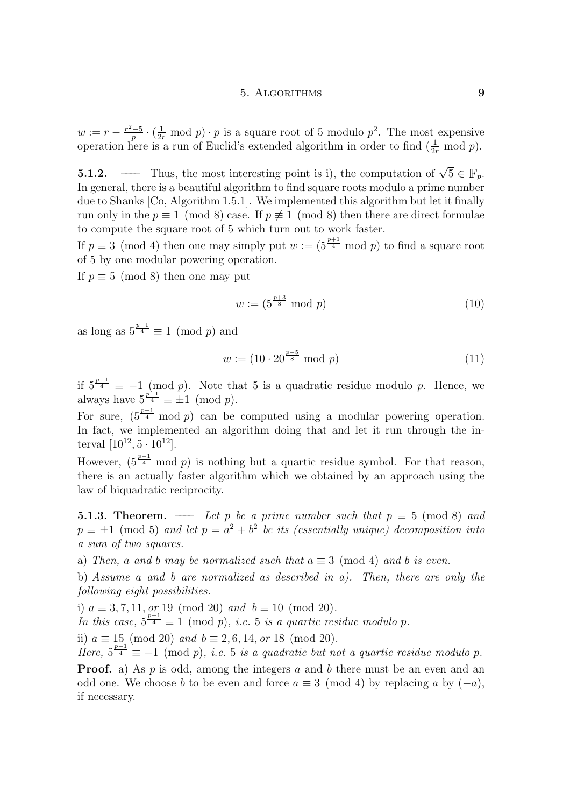$w := r - \frac{r-5}{p} \cdot (\frac{1}{2r} \mod p) \cdot p$  is a square root of 5 modulo  $p^2$ . The most expensive<br>operation here is a run of Euclid's extended algorithm in order to find  $(\frac{1}{r})$  mod n) operation here is a run of Euclid's extended algorithm in order to find  $(\frac{1}{2r} \mod p)$ .

**5.1.2.** –—– Thus, the most interesting point is i), the computation of  $\sqrt{5} \in \mathbb{F}_p$ .<br>In general, there is a beautiful algorithm to find square roots modulo a prime number due to Shanks  $[Co, Algorithm 1.5.1]$ . We implemented this algorithm but let it finally run only in the  $p \equiv 1 \pmod{8}$  case. If  $p \not\equiv 1 \pmod{8}$  then there are direct formulae to compute the square root of 5 which turn out to work faster.

to compute the square root of 5 which turn out to work faster. If  $p \equiv 3 \pmod{4}$  then one may simply put  $w := (5\frac{4}{4} \mod{p})$  to find a square root of 5 by one modular powering operation of 5 by one modular powering operation.<br>If  $p \equiv 5 \pmod{8}$  then one may put

 $\mathbf{F} = \begin{pmatrix} 1 & 0 & 0 \\ 0 & 0 & 0 \\ 0 & 0 & 0 \end{pmatrix}$ 

$$
w := (5^{\frac{p+3}{8}} \bmod p) \tag{10}
$$

 $rac{1}{2}$  as  $rac{1}{2}$  $\frac{4}{4} \equiv 1 \pmod{p}$  and

$$
w := (10 \cdot 20^{\frac{p-5}{8}} \bmod p) \tag{11}
$$

 $\frac{1}{2}$  $\frac{f_4}{f} \equiv -1 \pmod{p}$ . Note that 5 is a quadratic residue modulo p. Hence, we have  $5^{\frac{p-1}{4}} = +1 \pmod{p}$ .  $\sum_{p=1}^{\infty} \frac{p-1}{p} = 1$  and  $\sum_{p=1}^{\infty}$ 

For sure,  $(5\frac{1}{4})$ In fact, we implemented an algorithm doing that and let it run through the interval  $[10^{12}, 5 \cdot 10^{12}]$ . terval  $[10^{-7}, 3 \cdot 10^{-7}]$ .

However,  $(5^{\frac{1}{4}})$ there is an actually faster algorithm which we obtained by an approach using the  $\frac{1}{2}$  for a constant  $\frac{1}{2}$  factor and  $\frac{1}{2}$  faster algorithm which we obtain  $\frac{1}{2}$  factor  $\frac{1}{2}$  factor  $\frac{1}{2}$  factor  $\frac{1}{2}$  factor  $\frac{1}{2}$  factor  $\frac{1}{2}$  factor  $\frac{1}{2}$  factor  $\frac{1}{2}$  fac  $\mathbf{r}$  and biquadratic reciprocity.

 $s_1 = \pm 1 \pmod{5}$  and let  $s = a^2 + b^2$  be its (essentially unique) decomposition into  $p = \pm 1$  (mod 5) and let  $p = a + b$  be its (essentially unique) decomposition into<br>a sum of two squares a sum of two squares.<br>a) Then, a and b may be normalized such that  $a \equiv 3 \pmod{4}$  and b is even.

b) Assume a and b are normalized as described in a). Then, there are only the following eight possibilities.

i)  $a \equiv 3, 7, 11, or 19 \pmod{20}$  and  $b \equiv 10 \pmod{20}$ .

 $\int$ n this case  $5^{\frac{p-1}{4}} = 1 \pmod{p}$  i.e. 5 is a quartic res  $\sum_{i=1}^{n_1} \frac{1}{i} \binom{n_2}{i} = \frac{1}{n_1} \sum_{i=1}^{n_2} \frac{1}{i} \binom{n_1}{i} = \frac{1}{n_1} \sum_{i=1}^{n_2} \frac{1}{i} = \frac{1}{n_1} \sum_{i=1}^{n_2} \frac{1}{i} = \frac{1}{n_2} \sum_{i=1}^{n_3} \frac{1}{i} = \frac{1}{n_3} \sum_{i=1}^{n_4} \frac{1}{i} = \frac{1}{n_4} \sum_{i=1}^{n_5} \frac{1}{i} = \frac{1}{n_5$ 

 $\lim_{n \to \infty}$   $\frac{p-1}{4} = -1 \pmod{n}$  i.e. 5, is a quadratic but no

 $\mathbf{F} = \mathbf{f} \left( \frac{\mathbf{m} \times \mathbf{p}}{2}, \dots, \mathbf{p} \right)$  is a quadratic but not a quartic residue modulo p. odd one. We choose b to be even and force  $a \equiv 3 \pmod{4}$  by replacing a by  $(-a)$ . odd one. We choose b to be even and force a  $=$  3 (mode 4) by replacing a by (−a), if necessary.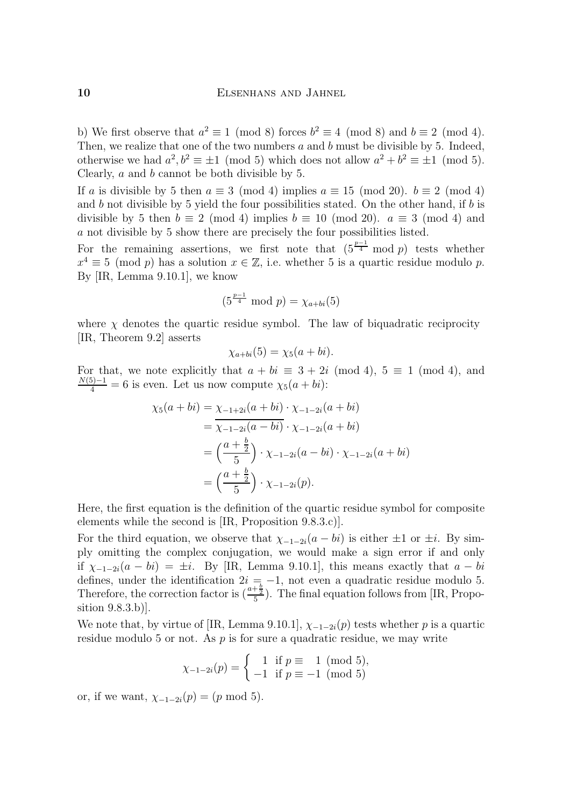b) We first observe that  $a^2 \equiv 1 \pmod{8}$  forces  $b^2 \equiv 4 \pmod{8}$  and  $b \equiv 2 \pmod{4}$ .<br>Then, we realize that one of the two numbers a and b must be divisible by 5. Indeed, otherwise we had  $a^2 h^2 = \pm 1 \pmod{5}$  which does not allow  $a^2 + b^2 = \pm 1 \pmod{5}$ . otherwise we had  $a, b \equiv \pm 1 \pmod{3}$  which does not allow  $a + b \equiv \pm 1 \pmod{3}$ .<br>Closely a and b cannot be both divisible by 5 Clearly, *a* and *b* cannot be both divisible by 5.<br>If *a* is divisible by 5 then  $a \equiv 3 \pmod{4}$  implies  $a \equiv 15 \pmod{20}$ .  $b \equiv 2 \pmod{4}$ 

and b not divisible by 5 yield the four possibilities stated. On the other hand, if b is divisible by 5 then  $b \equiv 2 \pmod{4}$  implies  $b \equiv 10 \pmod{20}$ .  $a \equiv 3 \pmod{4}$  and a not divisible by 5 show there are precisely the four possibilities listed.

For the remaining assertions, we first note that  $(5^{\frac{p-1}{4}} \mod p)$  tests whether For the remaining assertions, we first note that  $(5^{\frac{1}{4}} \mod p)$  tests whether  $x^4 \equiv 5 \pmod{n}$  has a solution  $x \in \mathbb{Z}$  i.e. whether 5 is a quartic residue modulo n  $x^2 = 5$  (mod p) has a solution  $x \in \mathbb{Z}$ , i.e. whether 5 is a quartic residue modulo p.<br>By [IR] Lemma 0.10.1] we know By [IR, Lemma 9.10.1], we know

$$
(5^{\frac{p-1}{4}} \bmod p) = \chi_{a+bi}(5)
$$

where  $\chi$  denotes the quartic residue symbol. The law of biquadratic reciprocity [IR, Theorem 9.2] asserts  $[1, 0, 0]$  and  $[0, 0, 1]$  assembly the  $[0, 0, 1]$ 

$$
\chi_{a+bi}(5) = \chi_5(a+bi)
$$

For that, we note explicitly that  $a + bi \equiv 3 + 2i \pmod{4}$ ,  $5 \equiv 1 \pmod{4}$ , and  $\frac{N(5)-1}{4} = 6$  is even. Let us now compute  $\chi_5(a + bi)$ :

$$
\chi_5(a+bi) = \chi_{-1+2i}(a+bi) \cdot \chi_{-1-2i}(a+bi)
$$
  
=  $\chi_{-1-2i}(a-bi) \cdot \chi_{-1-2i}(a+bi)$   
=  $\left(\frac{a+\frac{b}{2}}{5}\right) \cdot \chi_{-1-2i}(a-bi) \cdot \chi_{-1-2i}(a+bi)$   
=  $\left(\frac{a+\frac{b}{2}}{5}\right) \cdot \chi_{-1-2i}(p).$ 

Here, the first equation is the definition of the quartic residue symbol for composite elements while the second is  $[IR,$  Proposition  $(9.8.3.c)].$ 

For the third equation, we observe that  $\chi_{-1-2i}(a-bi)$  is either  $\pm 1$  or  $\pm i$ . By simply omitting the complex conjugation, we would make a sign error if and only if  $\chi_{-1-2i}(a-bi) = \pm i$ . By [IR, Lemma 9.10.1], this means exactly that  $a-bi$ defines, under the identification  $2i = -1$ , not even a quadratic residue modulo 5.  $\frac{d}{dx}$  and the intermediate  $\frac{a+b}{b}$ ,  $\frac{a+b}{c}$  The final equation follows from IIR. Proposition for  $\frac{a+b}{c}$  $T$  and  $T$  is  $T$  and  $T$  is  $T$  and  $T$  is  $T$  is  $T$  is  $T$  is  $T$  is  $T$  is  $T$  is  $T$  is  $T$  is  $T$  is  $T$  is  $T$  is  $T$  is  $T$  is  $T$  is  $T$  is  $T$  is  $T$  is  $T$  is  $T$  is  $T$  is  $T$  is  $T$  is  $T$  is  $T$  is  $T$  is  $\frac{a+\frac{1}{2}}{5}$ ). The final equation follows from [IR, Proposition 9.8.3.b)].<br>We note that, by virtue of [IR, Lemma 9.10.1],  $\chi_{-1-2i}(p)$  tests whether p is a quartic

residue modulo 5 or not. As  $p$  is for sure a quadratic residue, we may write residue modulo 5 or not. As p is for sure a quadratic residue, we write  $\mathcal{N}$ 

$$
\chi_{-1-2i}(p) = \begin{cases} 1 & \text{if } p \equiv 1 \pmod{5}, \\ -1 & \text{if } p \equiv -1 \pmod{5} \end{cases}
$$

or, if we want,  $\chi_{-1-2i}(p) = (p \mod 5)$ .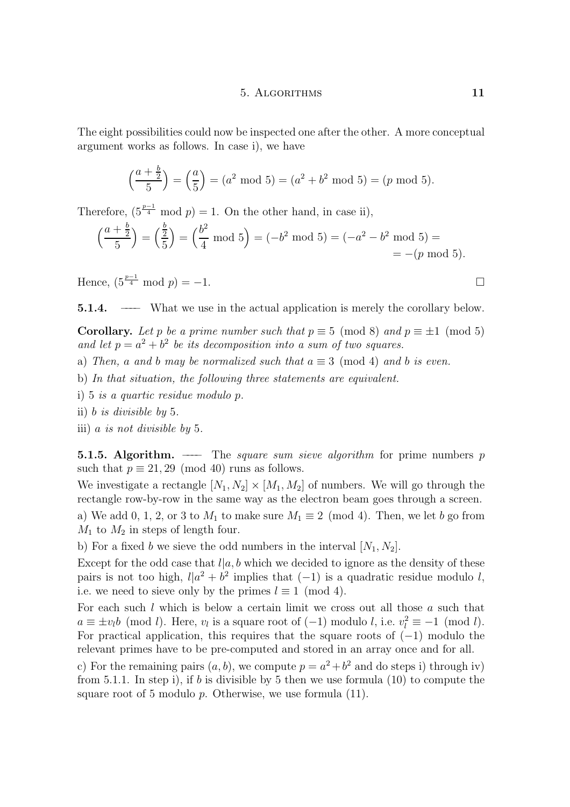The eight possibilities could now be inspected one after the other. A more conceptual  $\alpha$  gument works as follows. In case is  $\alpha$ 

$$
\left(\frac{a+\frac{b}{2}}{5}\right) = \left(\frac{a}{5}\right) = (a^2 \mod 5) = (a^2 + b^2 \mod 5) = (p \mod 5).
$$

Therefore,  $(5\overline{4} \mod p) = 1$ . On the other hand, in case ii),

$$
\left(\frac{a+\frac{b}{2}}{5}\right) = \left(\frac{\frac{b}{2}}{5}\right) = \left(\frac{b^2}{4} \mod 5\right) = (-b^2 \mod 5) = (-a^2 - b^2 \mod 5) =
$$
  
= -(p mod 5).

Hence,  $(5^{\frac{p}{4}} \mod p) = -1.$ 

5.1.4.  $\mathbf{S}$ .1. ––––––– What we use in the actual application is merely the corollary below.

corollary. Let p is a prime number such that p ≡  $\frac{1}{2}$  (mod square  $\frac{1}{2}$  mod let  $n - a^2 + b^2$  be its decomposition into a sum of two squares and let  $p = a^2 + b^2$  be its decomposition into a sum of two squares.

- a) Then, a and b may be normalized such that  $a \equiv 3 \pmod{4}$  and b is even.<br>b) In that situation, the following three statements are equivalent.
- 
- i) 5 is a quartic residue modulo  $p$ .
- ii) b is divisible by 5.
- iii) a is not divisible by 5.  $\sum_{i=1}^{n}$

**5.1.5. Algorithm.** —— The *square sum sieve algorithm* for prime numbers p such that  $p \equiv 21,29 \pmod{40}$  runs as follows.

We investigate a rectangle  $[N_1, N_2] \times [M_1, M_2]$  of numbers. We will go through the rectangle row-by-row in the same way as the electron beam goes through a screen. rectangle row-by-row in the same way as the electron beam goes through a screen. a) We add 0, 2, 2, or 3 to  $M_1$  to make sure  $M_1$  =  $($ mod 4). Then, we let  $\infty$  go from

 $M_1$  to  $M_2$  in steps of length four.<br>b) For a fixed b we sieve the odd numbers in the interval  $[N_1, N_2]$ .

Except for the odd case that  $l|a, b$  which we decided to ignore as the density of these pairs is not too high  $l/a^2 + b^2$  implies that  $(-1)$  is a quadratic residue modulo l pairs is not too high,  $l|a| + b$  implies that (−1) is a quadratic residue modulo l,<br>i.e. we need to sieve only by the primes  $l \equiv 1 \pmod{4}$ i.e. we need to sieve only by the primes  $l \equiv 1 \pmod{4}$ .<br>For each such l which is below a certain limit we cross out all those a such that

 $a \equiv \pm v_l b \pmod{l}$ . Here,  $v_l$  is a square root of  $(-1)$  modulo l, i.e.  $v_l^2 \equiv -1 \pmod{l}$ .  $a = \pm v_l \nu$  (mod *t*). Here,  $v_l$  is a square root of (−1) modulo *t*, i.e.  $v_l^- = -1$  (mod *t*).<br>For practical application, this requires that the square roots of (−1) modulo the relevant primes have to be pre-computed and stored in an array once and for all.

c) For the remaining pairs  $(a, b)$ , we compute  $p = a^2 + b^2$  and do steps i) through iv) from 5.1.1. In step i), if b is divisible by 5 then we use formula  $(10)$  to compute the  $f(x)$  is the step i), if the divisible by 5 them we use formula  $(10)$  to compute the step intervals. square root of  $S$  modulo p. Otherwise, we use formula (11).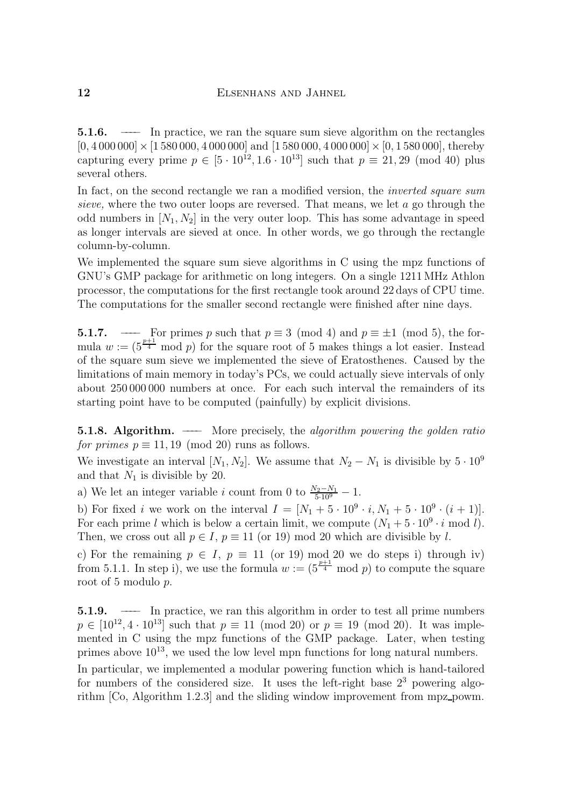5.1.6. –––– In practice, we ran the square sum sieve algorithm on the rectangles  $\begin{bmatrix} 0 & 0 & 0 & 0 & 0 \\ 0 & 0 & 0 & 0 & 0 \\ 0 & 0 & 0 & 0 & 0 \\ 0 & 0 & 0 & 0 & 0 \end{bmatrix}$  and  $\begin{bmatrix} 0 & 0 & 0 & 0 \\ 0 & 0 & 0 & 0 \\ 0 & 0 & 0 & 0 \\ 0 & 0 & 0 & 0 \end{bmatrix}$  and  $\begin{bmatrix} 0 & 0 & 0 & 0 \\ 0 & 0 & 0 & 0 \\ 0 & 0 & 0 & 0 \\ 0 & 0 & 0 & 0 \end{bmatrix}$ capturing every prime  $p \in [3 \cdot 10, 1.6 \cdot 10]$  such that  $p = 21, 29 \pmod{40}$  plus<br>several others several others.<br>In fact, on the second rectangle we ran a modified version, the *inverted square sum* 

sieve, where the two outer loops are reversed. That means, we let  $a$  go through the odd numbers in  $[N_1, N_2]$  in the very outer loop. This has some advantage in speed. as longer intervals are sieved at once. In other words, we go through the rectangle column-by-column.

We implemented the square sum sieve algorithms in C using the mpz functions of GNU's GMP package for arithmetic on long integers. On a single 1211 MHz Athlon processor, the computations for the first rectangle took around 22 days of CPU time. processor, the processor computations for the first rectangle to the first rectangle to  $\frac{1}{2}$  days of CPU time. The computations for the smaller second rectangle were finished after nine days The computations for the smaller second rectangle were finished after nine days.

mula  $w := (5^{\frac{p+1}{4}} \mod p)$  for the square root of 5 makes things a lot easier. Instead<br>of the square sum sieve we implemented the sieve of Eratosthenes. Caused by the of the square sum sieve we implemented the sieve of Eratosthenes. Caused by the limitations of main memory in today's PCs, we could actually sieve intervals of only about 250,000,000 numbers at once. For each such interval the remainders of its  $\alpha$  of  $\alpha$  000  $\alpha$  000  $\alpha$  000  $\alpha$  (numbers  $\alpha$ ) intervals  $\alpha$  is easiled divisions starting point have to be computed (painfully) by explicit divisions.

**5.1.8. Algorithm.** —— More precisely, the algorithm powering the golden ratio for primes  $p \equiv 11, 19 \pmod{20}$  runs as follows.

 $\frac{1}{2}$  is primes p = 1, 19 (models) runs as follows. We investigate an interval  $[N_1, N_2]$ . We assume that  $N_2 - N_1$  is divisible by  $3 \cdot 10^{-6}$ <br>and that N<sub>c</sub> is divisible by 20

 $\frac{1}{1}$ a) we let an integer variable i count from 0 to  $\frac{z_{5.109}}{5.109} - 1.$ 

b) For fixed *i* we work on the interval  $I = [N_1 + 5 \cdot 10^9 \cdot i, N_1 + 5 \cdot 10^9 \cdot (i + 1)].$ <br>For each prime *l* which is below a certain limit, we compute  $(N_1 + 5 \cdot 10^9 \cdot i \mod l)$ . Then, we cross out all  $p \in I$ ,  $p \equiv 11$  (or 19) mod 20 which are divisible by l.

c) For the remaining  $p \in I$ ,  $p \equiv 11$  (or 19) mod 20 we do steps i) through iv) from 5.1.1. In step i), we use the formula  $w := (5^{\frac{p+1}{4}} \mod p)$  to compute the square root of 5 modulo n root of 5 modulo p.

**5.1.9.** ——– In practice, we ran this algorithm in order to test all prime numbers  $p \in [10^{12}, 4 \cdot 10^{13}]$  such that  $p \equiv 11 \pmod{20}$  or  $p \equiv 19 \pmod{20}$ . It was implemented in  $C$  using the mpz functions of the GMP package. Later, when testing  $\frac{1}{2}$  mented in C using the maximum parameters of the measure of the measure of the measure of the later, when testing  $\frac{1}{2}$  measured the low level mpn functions for long natural numbers primes above 10<sup>13</sup>, we used the low level mpn functions for long natural numbers. In particular, we implemented a modular powering function which is hand-tailored for numbers of the considered size. It uses the left-right base  $2<sup>3</sup>$  powering algorithm  $[Co, Algorithm 1.2.3]$  and the sliding window improvement from mpz\_powm.

 $r_{\text{r}}$  is and the sliding window in provement from  $r_{\text{r}}$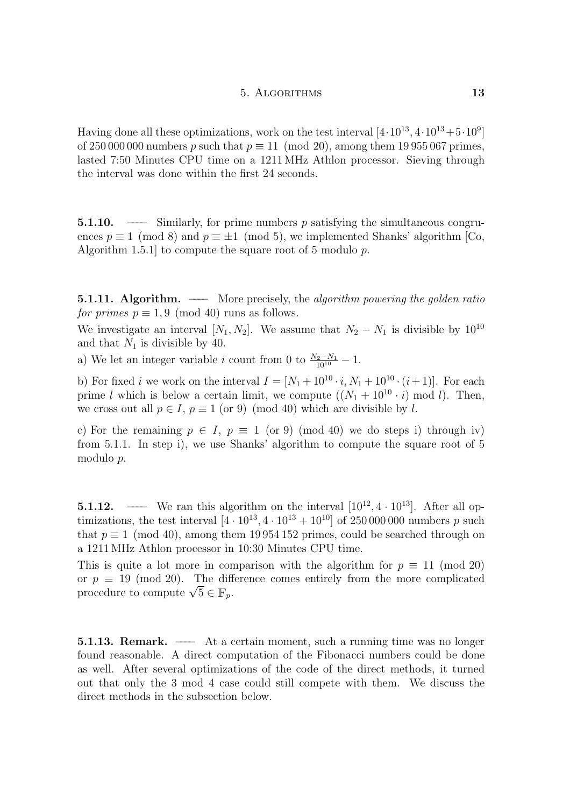Having done all these optimizations, work on the test interval  $[4 \cdot 10^{13}, 4 \cdot 10^{13} + 5 \cdot 10^{9}]$ <br>of 250 000 000 numbers p such that  $p \equiv 11 \pmod{20}$ , among them 19 955 067 primes, lasted 7:50 Minutes CPU time on a 1211 MHz Athlon processor. Sieving through  $\frac{1}{2}$  and  $\frac{1}{2}$  minutes  $\frac{1}{2}$  on a  $\frac{1}{2}$  minutes on a 1211 MHz  $\frac{1}{2}$  processor. Six  $\frac{1}{2}$  and  $\frac{1}{2}$  may also may done within the first  $\frac{1}{2}$  seconds

**5.1.10.** ——–– Similarly, for prime numbers p satisfying the simultaneous congruences  $p \equiv 1 \pmod{8}$  and  $p \equiv \pm 1 \pmod{5}$ , we implemented Shanks' algorithm [Co,  $\frac{1}{2}$  and p  $\frac{1}{2}$  is  $\frac{1}{2}$  to compute the square root of 5 modulo n  $A$ 

**5.1.11. Algorithm.** —— More precisely, the algorithm powering the golden ratio for primes  $p \equiv 1.9 \pmod{40}$  runs as follows.

 $\frac{1}{2}$   $\frac{1}{2}$   $\frac{1}{2}$   $\frac{1}{2}$   $\frac{1}{2}$   $\frac{1}{2}$   $\frac{1}{2}$   $\frac{1}{2}$   $\frac{1}{2}$   $\frac{1}{2}$   $\frac{1}{2}$   $\frac{1}{2}$   $\frac{1}{2}$   $\frac{1}{2}$   $\frac{1}{2}$   $\frac{1}{2}$   $\frac{1}{2}$   $\frac{1}{2}$   $\frac{1}{2}$   $\frac{1}{2}$   $\frac{1}{2}$   $\frac{1}{2}$  We investigate an interval  $[N_1, N_2]$ . We assume that  $N_2 - N_1$  is divisible by 10<sup>-0</sup><br>and that N<sub>c</sub> is divisible by 40

 $\frac{1}{\sqrt{M}}$  is divisible by  $\frac{1}{\sqrt{M}}$ . a) we let an integer variable i count from 0 to  $\frac{2}{10^{10}} - 1$ .

b) For fixed i we work on the interval  $I = [N_1 + 10^{-1} \cdot i, N_1 + 10^{-1} \cdot (i + 1)]$ . For each<br>prime l which is below a certain limit, we compute  $((N_1 + 10^{10} \cdot i) \mod l)$ . Then prime l which is below a certain limit, we compute  $((N_1 + 10^{-3} \cdot i) \mod i)$ . Then,<br>we cross out all  $n \in I$ ,  $n \equiv 1$  (or 0) (mod 40) which are divisible by l we cross out all  $p \in I$ ,  $p \equiv 1$  (or 9) (mod 40) which are divisible by l.

c) For the remaining  $p \in I$ ,  $p \equiv 1 \pmod{40}$  we do steps i) through iv) from 5.1.1. In step i), we use Shanks' algorithm to compute the square root of 5  $f(x)$  is the  $f(x)$  in step in  $f(x)$  and  $f(x)$  algorithm to compute the square root of  $5$ modulo p.

5.1.12. –––– We ran this algorithm on the interval [10<sup>12</sup>, 4 · 10<sup>13</sup>]. After all opthat  $p \equiv 1 \pmod{40}$ , among them 19954 152 primes, could be searched through on a 1211 MHz Athlon processor in 10:30 Minutes CPU time.

This is quite a lot more in comparison with the algorithm for  $p \equiv 11 \pmod{20}$ or  $p \equiv 19 \pmod{20}$ . The difference comes entirely from the more complicated procedure to compute  $\sqrt{5} \in \mathbb{F}_p$ .

**5.1.13. Remark.** —— At a certain moment, such a running time was no longer found reasonable. A direct computation of the Fibonacci numbers could be done as well. After several optimizations of the code of the direct methods, it turned out that only the 3 mod 4 case could still compete with them. We discuss the direct methods in the subsection below.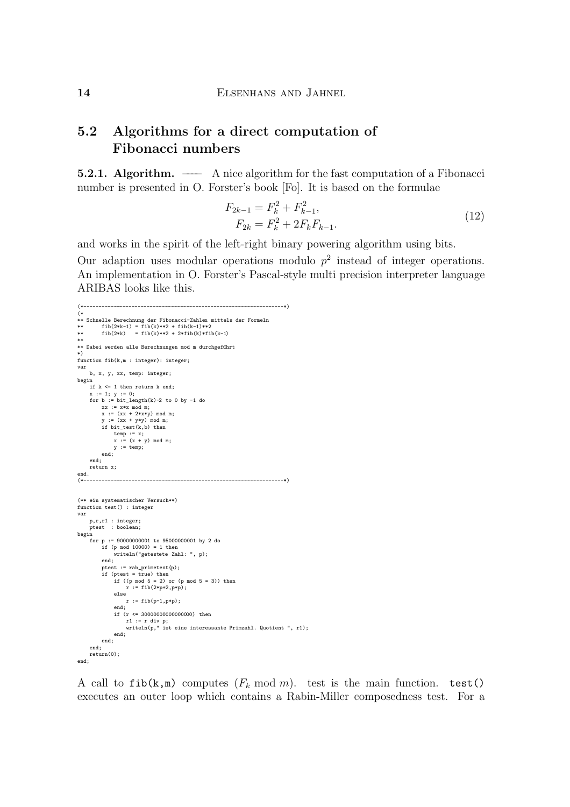#### Algorithms for a direct computation of<br>Fibonacci numbers  $5.2$

 $\frac{1}{2}$ . The fast computation of  $\frac{1}{2}$  is the fast computation of a  $\frac{1}{2}$   $\frac{1}{2}$  is the fact computation of a  $\frac{1}{2}$  is the fact computation of a  $\frac{1}{2}$  is the fact computation of a  $\frac{1}{2}$  is the fac number is presented in O. Forster's book  $\frac{1}{2}$ . It is based on the formulae formulae on the formulae formulae formulae for  $\frac{1}{2}$ .

$$
F_{2k-1} = F_k^2 + F_{k-1}^2,
$$
  
\n
$$
F_{2k} = F_k^2 + 2F_k F_{k-1}.
$$
\n(12)

and works in the spirit of the left-right binary powering algorithm using bits.<br>Our adaption uses modular operations modulo  $p^2$  instead of integer operations. An implementation in O. Forster's Pascal-style multi precision interpreter language ARIBAS looks like this. ARIBAS looks like this.

```
(* )<br>** Schnelle Berechnung der Fibonacci-Zahlen mittels der Formeln
(*------------------------------------------------------------------*)
** fib(2*k-1) = fib(k)**2 + fib(k-1)**2<br>fib(2*k) = fib(k)**2 + 2*fib(k)*fib(k-1)<br>** fib(2*k) = fib(k)**2 + 2*fib(k)*fib(k-1)
** Dabei werden alle Berechnungen mod m durchgeführt
** Dabei werden alle Berechnungen mod m durchgef¨uhrt
.<br>function fib(k,m : integer): integer;<br>var
b, x, y, xx, temp: integer;
      if k \leq 1 then return k end;
       x := 1; y := 0;<br>for h := hit longth(k)-? to
            xx := x*x \mod m;x := (xx + 2*x*y) \mod m;<br>x := (xx + v*x) \mod m;if bit_test(k, b) then
             temp := x;<br>x := (x + y) \mod xy := temp;_{\mathrm{end}};return x;
       return x;
(*--\rightarrow\mathcal{L}^* and the contribution of the contribution of the contribution of the contribution of the contribution of the contribution of the contribution of the contribution of the contribution of the contribution of the co
(* ein systematischer Versuch)<br>function test() : integer<br>var
       ptest : integer;<br>ptest : boolean;<br>n
\begin{cases}\n\text{for } p := 90000000001 \text{ to } 95000000001 \text{ by } 2 \text{ do} \\
\text{if } (p \text{ mod } 10000) = 1 \text{ then}\n\end{cases}end:<br>writeln("getestete Zahl: ", p);<br>and:
            text{if } x = \text{rab}. text{if } (p);
             if (ptest = true) then
                   if ((p \mod 5 = 2) or (p \mod 5 = 3)) then
                    \frac{1}{n} := fib(2*p+2,p*p);
                    r := \text{fib}(p-1, p*p);end;<br>if (r \le 30000000000000000) then
                    if (respectively) the state of the state of the state of the state of the state primary is the state of the state of the state of the state of the state of the state of the state of the state of the state of the state of t
                    end;
     end;<br>return(0);end;
       return(0);
end;
```
 $\alpha$  call to fib(k), computes ( $\alpha$  mod m). The model main function. The  $\alpha$ executes an outer loop which contains a Rabin-Miller composedness test. For a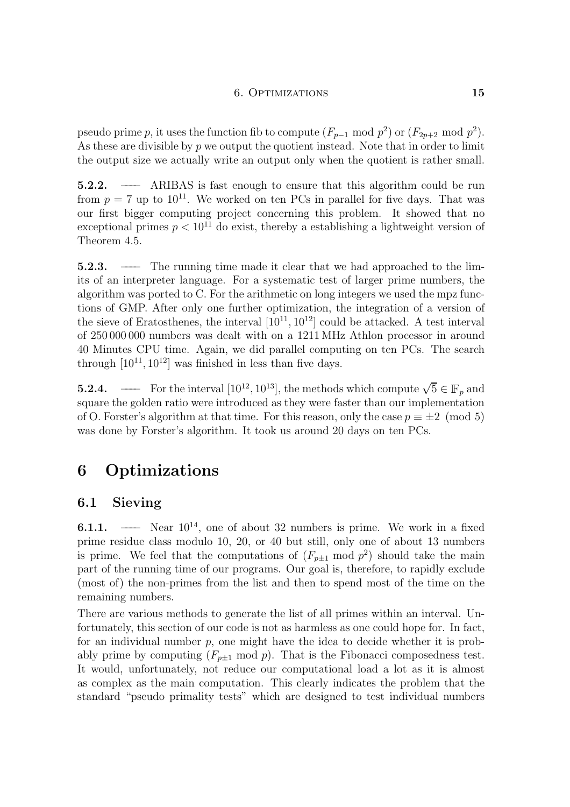pseudo prime p, it uses the function fib to compute  $(F_{p-1} \mod p^2)$  or  $(F_{2p+2} \mod p^2)$ .<br>As these are divisible by p we output the quotient instead. Note that in order to limit  $\frac{1}{\sqrt{2}}$  the set of the contract the quotient is rather small. the output size we actually write an output only when the quotient is rather small.

5.2.2. ––––– ARIBAS is fast enough to ensure that this algorithm could be run from  $p = 7$  up to  $10^{11}$ . We worked on ten PCs in parallel for five days. That was our first bigger computing project concerning this problem. It showed that no ovecontional primes  $p \ge 10^{11}$  do evist thereby a establishing a lightword that version of exceptional primes  $p < 10$  – do exist, thereby a establishing a lightweight version of<br>Theorem 4.5 Theorem 4.5.

5.2.3. –––– The running time made it clear that we had approached to the limalgorithm was ported to C. For the arithmetic on long integers we used the mpz functions of GMP. After only one further optimization, the integration of a version of the sieve of Eratosthenes, the interval  $[10^{11} 10^{12}]$  could be attacked. A test interval the sieve of Eratosthenes, the interval  $[10^{-5}, 10^{-5}]$  could be attacked. A test interval<br>of 250,000,000 numbers was dealt with on a 1911 MHz. Athlon processor in around of 250 000 000 numbers was dealt with on a 1211 MHz Athlon processor in around  $\frac{40}{10^{11}}$   $\frac{10^{12}}{10^{12}}$  was finished in less than five days through  $[10, 10]$  was finished in less than five days.

**5.2.4.** –—–– For the interval  $[10^{12}, 10^{13}]$ , the methods which compute  $\sqrt{5} \in \mathbb{F}_p$  and square the golden ratio were introduced as they were faster than our implementation of O. Forster's algorithm at that time. For this reason, only the case  $p \equiv \pm 2 \pmod{5}$  $\frac{1}{2}$  of O. Forster's algorithm at took us around 20 days on top PCs was done by Forster's algorithm. It took us around 20 days on ten PCs.

# 6 Optimizations

## 6.1 Sieving

**6.1.1.** —— Near  $10^{14}$ , one of about 32 numbers is prime. We work in a fixed prime residue class modulo 10, 20, or 40 but still, only one of about 13 numbers prime residue class modulo 10, 20, or 10 but still, only one of about 13 numbers is is prime. We feel that the computations of  $(r_{p\pm 1} \mod p^2)$  should take the main<br>part of the running time of our programs. Our goal is therefore to rapidly exclude part of the running time of our programs. Our goal is, therefore, to rapidly exclude  $(\text{min})$  the non-primes from the list and the time on the time on the time on the time on the time on the time on the time on the time on the time on the time on the time on the time on the time on the time on the time on

remaining numbers.<br>There are various methods to generate the list of all primes within an interval. Unfortunately, this section of our code is not as harmless as one could hope for. In fact, for an individual number  $p$ , one might have the idea to decide whether it is probably prime by computing  $(F_{p\pm 1} \mod p)$ . That is the Fibonacci composedness test. It would, unfortunately, not reduce our computational load a lot as it is almost as complex as the main computation. This clearly indicates the problem that the standard "pseudo primality tests" which are designed to test individual numbers standard  $\mathbf{r}$  which are designed to test individual numbers  $\mathbf{r}$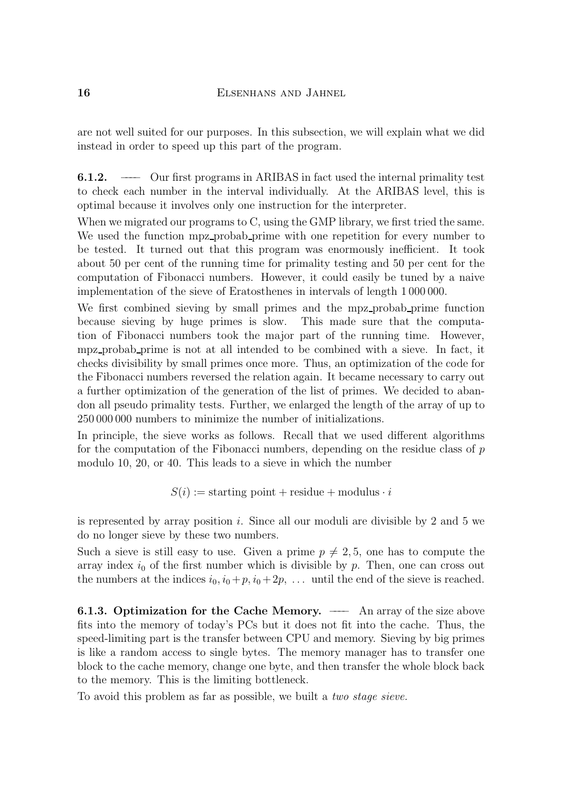are not well suited for our purposes. In this subsection, we will explain what we did instead in order to speed up this part of the program. instead in order to speed up the problem up the problem  $\mathbf{r}$ 

6.1.2. —— Our first programs in ARIBAS in fact used the internal primality test to check each number in the interval individually. At the ARIBAS level, this is optimal because it involves only one instruction for the interpreter.

When we migrated our programs to C, using the GMP library, we first tried the same. We used the function mpz\_probab\_prime with one repetition for every number to be tested. It turned out that this program was enormously inefficient. It took about 50 per cent of the running time for primality testing and 50 per cent for the computation of Fibonacci numbers. However, it could easily be tuned by a naive implementation of the sieve of Eratosthenes in intervals of length 1000000.

We first combined sieving by small primes and the mpz\_probab\_prime function because sieving by huge primes is slow. This made sure that the computation of Fibonacci numbers took the major part of the running time. However, mpz\_probab\_prime is not at all intended to be combined with a sieve. In fact, it checks divisibility by small primes once more. Thus, an optimization of the code for the Fibonacci numbers reversed the relation again. It became necessary to carry out a further optimization of the generation of the list of primes. We decided to abandon all pseudo primality tests. Further, we enlarged the length of the array of up to  $250\,000\,000$  numbers to minimize the number of initializations.

In principle, the sieve works as follows. Recall that we used different algorithms for the computation of the Fibonacci numbers, depending on the residue class of  $p$ for the computation of the Fibonacci numbers, depending on the residue class of  $p$ <br>modulo 10–20, or 40. This leads to a sieve in which the number  $\mathcal{L}$  ,  $\mathcal{L}$  ,  $\mathcal{L}$  ,  $\mathcal{L}$  and the number in which the number is the number in which the number is the number of  $\mathcal{L}$ 

 $S(\cdot)$  := starting point +  $\sigma$  point + modulus  $\sigma$ 

is represented by array position  $i$ . Since all our moduli are divisible by 2 and 5 we do no longer sieve by these two numbers.

Such a sieve is still easy to use. Given a prime  $p \neq 2, 5$ , one has to compute the array index  $i_0$  of the first number which is divisible by p. Then, one can cross out the numbers at the indices  $i_0$ ,  $i_0 + n$ ,  $i_0 + 2n$ , until the end of the sieve is reached the indices at the indices  $v_0, v_0 + p, v_0 + 2p, \ldots$  which the end of the sieve is reached.

**6.1.3. Optimization for the Cache Memory.** —— An array of the size above fits into the memory of today's PCs but it does not fit into the cache. Thus, the speed-limiting part is the transfer between CPU and memory. Sieving by big primes is like a random access to single by tes. The memory manager has to transfer one block to the cache memory, change one byte, and then transfer the whole block back to the memory. This is the limiting bottleneck.

To avoid this problem as far as possible, we built a *two stage sieve*. To avoid the problem as far as  $\mathbf{r}$  as  $\mathbf{r}$  as  $\mathbf{r}$  as possible, we built a two stage sizes.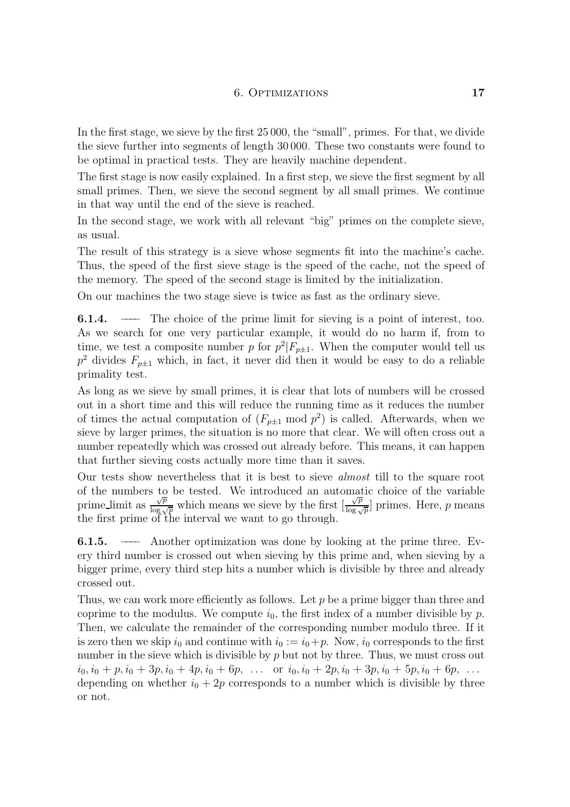In the first stage, we sieve by the first 25 000, the "small", primes. For that, we divide the sieve further into segments of length 30 000. These two constants were found to be optimal in practical tests. They are heavily machine dependent.

The first stage is now easily explained. In a first step, we sieve the first segment by all small primes. Then, we sieve the second segment by all small primes. We continue in that way until the end of the sieve is reached.

 $\mathbf{r}$  is reached. The end of the single is reached. In the second stage, we work with all relevant "big" primes on the complete sieve,

as usual.<br>The result of this strategy is a sieve whose segments fit into the machine's cache. Thus, the speed of the first sieve stage is the speed of the cache, not the speed of the memory. The speed of the second stage is limited by the initialization.

 $\sim$   $\frac{1}{\sqrt{2}}$  second stage is limited by the second stage is limited by the initialization. On our machines the two stage sieve is twice as fast as the ordinary sieve.

**6.1.4.** —— The choice of the prime limit for sieving is a point of interest, too.<br>As we search for one very particular example, it would do no harm if, from to time, we test a composite number p for  $p^2|F_{p\pm 1}$ . When the computer would tell us time, we test a composite number p for  $p|F_{p\pm 1}$ . When the computer would tell us<br> $n^2$  divides  $F_{\pm \pm}$  which in fact, it never did then it would be easy to do a reliable  $p$  divides  $F_{p\pm1}$  which, in fact, it never did then it would be easy to do a reliable<br>primality tost primality test.<br>As long as we sieve by small primes, it is clear that lots of numbers will be crossed

out in a short time and this will reduce the running time as it reduces the number out in a short time and time will reduce the running time as it reduces the number of times the actual computation of  $(r_{p\pm1}$  mod p  $)$  is called. Afterwards, when we<br>siave by larger primes the situation is no more that clear. We will often cross out a sieve by larger primes, the situation is no more that clear. We will often cross out a number repeatedly which was crossed out already before. This means, it can happen that further sieving costs actually more time than it saves.

Our tests show nevertheless that it is best to sieve *almost* till to the square root of the numbers to be tested. We introduced an automatic choice of the variable prime limit as  $\frac{\sqrt{p}}{\log \sqrt{p}}$  which means we sieve by the first  $\frac{\sqrt{p}}{\log \sqrt{p}}$  primes. Here, p means the first prime of the interval we want to go through  $\frac{\sqrt{p}}{g}$  $\log \sqrt{p}$  Primes. Here, *p* means the first prime of the interval we want to go through.

**6.1.5.** —— Another optimization was done by looking at the prime three. Every third number is crossed out when sieving by this prime and, when sieving by a  $\frac{1}{2}$  this cross out when since  $\frac{1}{2}$  is  $\frac{1}{2}$  in  $\frac{1}{2}$  in  $\frac{1}{2}$  by three and, already  $\log$  prime, every third step hits a number which is divisible by three and already

crossed out.<br>Thus, we can work more efficiently as follows. Let  $p$  be a prime bigger than three and coprime to the modulus. We compute  $i_0$ , the first index of a number divisible by p. Then, we calculate the remainder of the corresponding number modulo three. If it is zero then we skip  $i_0$  and continue with  $i_0 := i_0 + p$ . Now,  $i_0$  corresponds to the first number in the sieve which is divisible by  $p$  but not by three. Thus, we must cross out  $i_0, i_0 + p, i_0 + 3p, i_0 + 4p, i_0 + 6p, \ldots$  or  $i_0, i_0 + 2p, i_0 + 3p, i_0 + 5p, i_0 + 6p, \ldots$  $\frac{1}{2}$  in  $\frac{1}{2}$ ,  $\frac{1}{2}$ ,  $\frac{1}{2}$ ,  $\frac{1}{2}$ ,  $\frac{1}{2}$ ,  $\frac{1}{2}$ ,  $\frac{1}{2}$ ,  $\frac{1}{2}$ ,  $\frac{1}{2}$ ,  $\frac{1}{2}$ ,  $\frac{1}{2}$ ,  $\frac{1}{2}$ ,  $\frac{1}{2}$ ,  $\frac{1}{2}$ ,  $\frac{1}{2}$ ,  $\frac{1}{2}$ ,  $\frac{1}{2}$ ,  $\frac{1}{2}$ ,  $\frac{1}{2}$ ,  $\frac{1}{2}$  or  $\frac{1}{2}$  whether  $\frac{1}{2}$   $\frac{1}{2}$  corresponds to a number which is divisible by three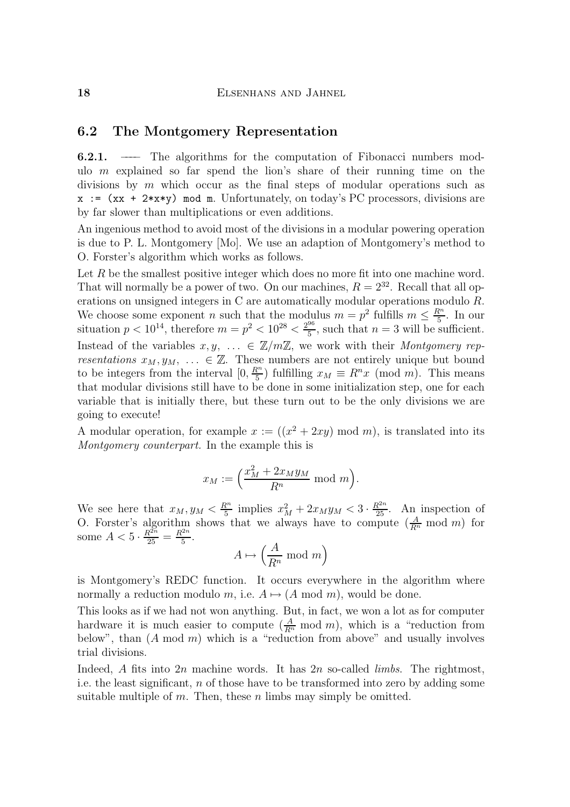### $\mathbf{F}$  and Montgomery Representation

**6.2.1.** —— The algorithms for the computation of Fibonacci numbers modulo  $m$  explained so far spend the lion's share of their running time on the divisions by  $m$  which occur as the final steps of modular operations such as  $x := (xx + 2*x*y) \mod m$ . Unfortunately, on today's PC processors, divisions are by far slower than multiplications or even additions.

An ingenious method to avoid most of the divisions in a modular powering operation is due to P. L. Montgomery  $[Mo]$ . We use an adaption of Montgomery's method to O. Forster's algorithm which works as follows.

Let  $R$  be the smallest positive integer which does no more fit into one machine word. That will normally be a power of two. On our machines,  $R = 2^{32}$ . Recall that all operations on unsigned integers in  $C$  are automatically modular operations modulo  $R$ . We choose some exponent *n* such that the modulus  $m = p^2$  fulfills  $m \leq \frac{R^n}{5}$ . In our situation  $p < 10^{14}$ , therefore  $m = p^2 < 10^{28} < \frac{2^{96}}{5}$ , such that  $n = 3$  will be sufficient. Instead of the variables  $x, y, \dots \in \mathbb{Z}/m\mathbb{Z}$ , we work with their *Montgomery rep-*<br>*resentations*  $x_M, y_M, \dots \in \mathbb{Z}$ . These numbers are not entirely unique but bound to be integers from the interval  $[0, \frac{R^n}{5})$  fulfilling  $x_M \equiv R^n x \pmod{m}$ . This means that modular divisions still have to be done in some initialization step, one for each going to execute!

going to execute! A modular operation, for example  $x := ((x + \angle xy) \mod m)$ , is translated into its<br>Montagmery counterpart. In the example this is  $\mathcal{M}_{\mathbf{p}}$  counterpart. In the example this is is in the example this is is is in the example this is is is in the example that  $\mathbf{p}$ 

$$
x_M := \left(\frac{x_M^2 + 2x_M y_M}{R^n} \mod m\right).
$$

We see here that  $x_M, y_M < \frac{\kappa}{5}$  implies  $x_M^2 + 2x_My_M < 3 \cdot \frac{\kappa}{25}$ <br>O Forster's algorithm shows that we always have to compute  $\frac{5}{5}$  implies  $x_M + 2x_My_M < 3 \cdot \frac{25}{25}$ . An inspection of O. Forster's algorithm shows that we always have to compute  $(\frac{R_n}{R_n} \mod m)$  for<br>
some  $A < 5 \cdot \frac{R^{2n}}{25} = \frac{R^{2n}}{5}$ .<br>  $A \mapsto \left(\frac{A}{R_n} \mod m\right)$ 

$$
A \mapsto \left(\frac{A}{R^n} \bmod m\right)
$$

is Montgomery's REDC function. It occurs everywhere in the algorithm where normally a reduction modulo m, i.e.  $A \mapsto (A \mod m)$ , would be done.

This looks as if we had not won anything. But, in fact, we won a lot as for computer  $\frac{1}{2}$  hardware it is much easier to compute  $\left(\frac{A}{2}\right)$  mod m), which is a "reduction from hardware it is much easier to compute  $\left(\frac{R}{R'}\right)$ <br>helow" than  $(A \mod m)$  which is a "reduc  $R^n$  mode m m above and usually involves  $\begin{pmatrix} 1 & 1 & 1 & 1 \end{pmatrix}$  which is a model which is a model which is a  $\begin{pmatrix} 1 & 1 & 1 \end{pmatrix}$ trial divisions.<br>Indeed, A fits into  $2n$  machine words. It has  $2n$  so-called *limbs*. The rightmost,

i.e. the least significant,  $n$  of those have to be transformed into zero by adding some suitable multiple of m. Then, these n limbs may simply be omitted. suitable multiple of multiple of multiple of multiple of  $\mathbf{r}$  is may simply be obtained.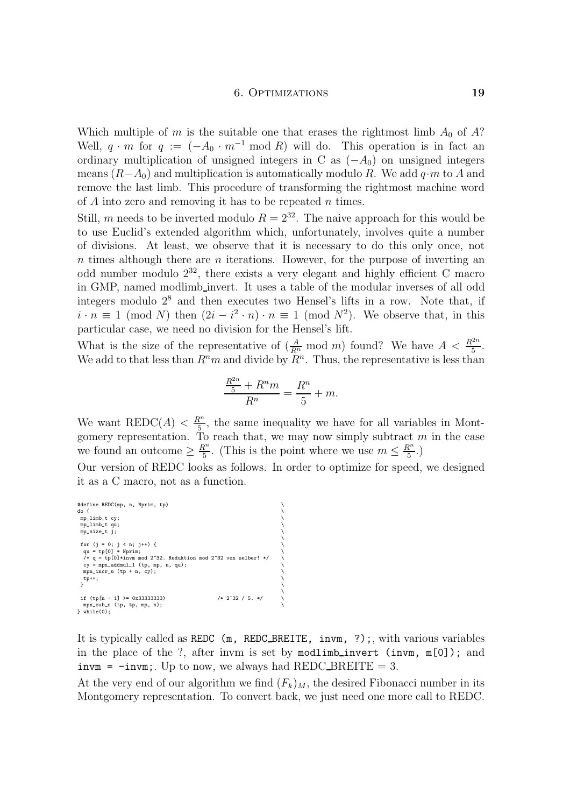Which multiple of m is the suitable one that erases the rightmost limb  $A_0$  of A?<br>Well,  $q \cdot m$  for  $q := (-A_0 \cdot m^{-1} \mod R)$  will do. This operation is in fact an ordinary multiplication of unsigned integers in C as  $(-A_0)$  on unsigned integers means  $(R-A_0)$  and multiplication is automatically modulo R. We add  $q \cdot m$  to A and remove the last limb. This procedure of transforming the rightmost machine word of A into zero and removing it has to be repeated n times.

Still, m needs to be inverted modulo  $R = 2^{32}$ . The naive approach for this would be to use Euclid's extended algorithm which, unfortunately, involves quite a number of divisions. At least, we observe that it is necessary to do this only once, not  $n$  times although there are  $n$  iterations. However, for the purpose of inverting an odd number modulo  $2^{32}$ , there exists a very elegant and highly efficient C macro in GMP, named modlimb\_invert. It uses a table of the modular inverses of all odd integers modulo  $2^8$  and then executes two Hensel's lifts in a row. Note that, if integers modulo 2° and then executes two Hensel's lifts in a row. Note that, if  $i \cdot n \equiv 1 \pmod{N}$  then  $(2i - i^2 \cdot n) \cdot n \equiv 1 \pmod{N^2}$ . We observe that in this particular case, we need no division for the Hensel's lift.  $v \cdot n$  ·  $n = 1$  (mod N). We observe that, in this sign for the Hensel's lift

particular case, we need no division for the Hensel's lift. What is the size of the representative of  $\left(\frac{A}{R^n}\right)$  mod m found? We have  $A < \frac{R^{2n}}{5}$ <br>We add to that less than  $R^n m$  and divide by  $R^n$ . Thus, the representative is less than 5<br>เจท we add to that less than  $R^m$  and divide by  $R^m$ . Thus, the representative is less than

$$
\frac{\frac{R^{2n}}{5} + R^n m}{R^n} = \frac{R^n}{5} + m.
$$

We want REDC(A)  $\langle R_n^m \rangle$ , the same inequality we have for all variables in Montgomery representation. To reach that, we may now simply subtract  $m$  in the case we found an outcome  $\geq \frac{R^n}{5}$ . (This is the point where we use  $m \leq \frac{R^n}{5}$ .) Our version of REDC looks as follows. In order to optimize for speed, we designed it as a C macro, not as a function.

 $\ddot{\phantom{0}}$ 

 $\ddot{\phantom{0}}$ 

it as a C macro, not as a function.

```
#define REDC(mp, n, Nprim, tp)<br>do {
mp\_limb_t cy;\mathbb{E}_{\mathbf{m}} is the contract of the contract of the contract of the contract of the contract of the contract of the contract of the contract of the contract of the contract of the contract of the contract of the contrac
 \frac{1}{\sqrt{2}}qu = tp[0] * Nprim;<br>
/* q = tp[0] * Nprim; mod 2^32. Reduktion mod 2^32 von selber! */ \
  mpn_incr_u (tp + n, cy); \qquad \qquad \qquad \rangle\frac{1}{\sqrt{2}}\overline{1}if (tp[n - 1] > = 0x33333333) /* 2^32 / 5. */ mpn\_sub_n (tp, tp, mp, n);\lim_{x \to a} (tp, tp, mp, n);
```
It is typically called as REDC (m, REDC\_BREITE, invm, ?);, with various variables in the place of the ?, after invm is set by modlimb\_invert (invm, m[0]); and in the plance of the place of the set of the place of the set of  $\text{REDC\_BREITE} = 3$ .

At the very end of our algorithm we find  $(F_k)_M$ , the desired Fibonacci number in its At the very end of our algorithm we find  $(e_k)$   $_M$ , the desired Fibonacci number in its  $M_{\odot}$  representation. To convert back, we just need one more call to  $R_{\odot}$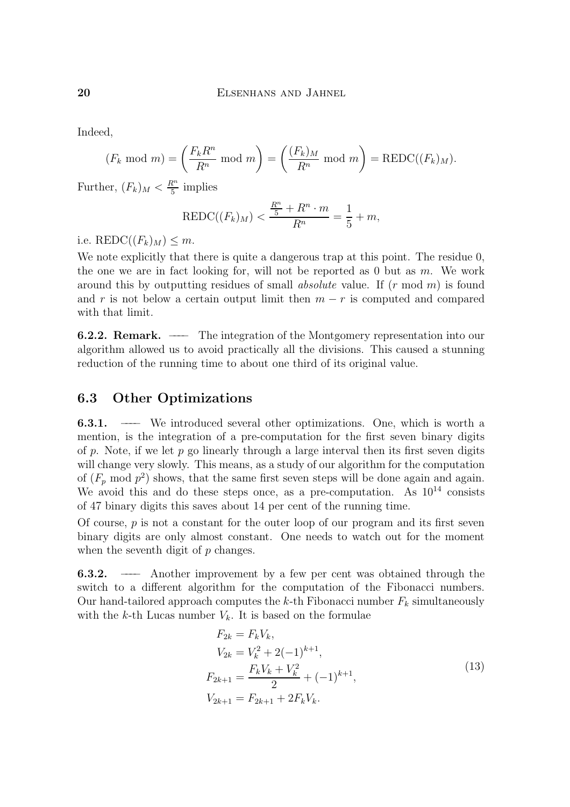Indeed,

$$
(F_k \bmod m) = \left(\frac{F_k R^n}{R^n} \bmod m\right) = \left(\frac{(F_k)_M}{R^n} \bmod m\right) = \text{REDC}((F_k)_M).
$$

Further,  $(F_k)_M < \frac{K^2}{5}$  implies

$$
REDC((F_k)_M) < \frac{\frac{R^n}{5} + R^n \cdot m}{R^n} = \frac{1}{5} + m,
$$

i.e. REDC( $(F_k)_M$ )  $\leq m$ .<br>We note explicitly that there is quite a dangerous trap at this point. The residue 0, the one we are in fact looking for, will not be reported as 0 but as  $m$ . We work around this by outputting residues of small *absolute* value. If  $(r \mod m)$  is found and  $r$  is not below a certain output limit then  $m = r$  is computed and compared and r is not be interesting a certain output limit the m  $\frac{1}{2}$  rate and computed and computed and computed and compared and computed and computed and computed and computed and computed and computed and computed and co with that limit.

**6.2.2. Remark.** —— The integration of the Montgomery representation into our algorithm allowed us to avoid practically all the divisions. This caused a stunning algorithm allowed us to avoid practically all the divisions. This caused a stunning reduction of the running time to about one third of its original value.

### 6.3 Other Optimizations

**6.3.1.** —— We introduced several other optimizations. One, which is worth a mention, is the integration of a pre-computation for the first seven binary digits of p. Note, if we let  $p$  go linearly through a large interval then its first seven digits will change very slowly. This means, as a study of our algorithm for the computation of  $(F_p \mod p^2)$  shows, that the same first seven steps will be done again and again. of  $(r_p$  mod p<sup>2</sup> shows, that the same first seven steps will be done again and again.<br>We avoid this and do these steps once as a pre-computation. As  $10^{14}$  consists We avoid this and do these steps once, as a pre-computation. As  $10^{-1}$  consists of 47 binary digits this saves about 14 per cent of the running time of 47 binary digits this saves about 14 per cent of the running time.<br>Of course,  $p$  is not a constant for the outer loop of our program and its first seven

binary digits are only almost constant. One needs to watch out for the moment  $\frac{1}{2}$  and  $\frac{1}{2}$  are  $\frac{1}{2}$  almost constant. One needs to watch out for the moment. when the seventh digital of p changes.

**6.3.2.** —— Another improvement by a few per cent was obtained through the switch to a different algorithm for the computation of the Fibonacci numbers. Our hand-tailored approach computes the k-th Fibonacci number  $F_k$  simultaneously  $\sum_{k=1}^{\infty}$  out the k-th Lucas number  $V_k$ . It is based on the formulae with the k-th Lucas number  $\kappa$  is based on the formulae on the formulae on the formulae on the formulae on the formulae on the formulae on the formulae on the formulae on the formulae on the formulae on the formulae on

$$
F_{2k} = F_k V_k,
$$
  
\n
$$
V_{2k} = V_k^2 + 2(-1)^{k+1},
$$
  
\n
$$
F_{2k+1} = \frac{F_k V_k + V_k^2}{2} + (-1)^{k+1},
$$
  
\n
$$
V_{2k+1} = F_{2k+1} + 2F_k V_k.
$$
\n(13)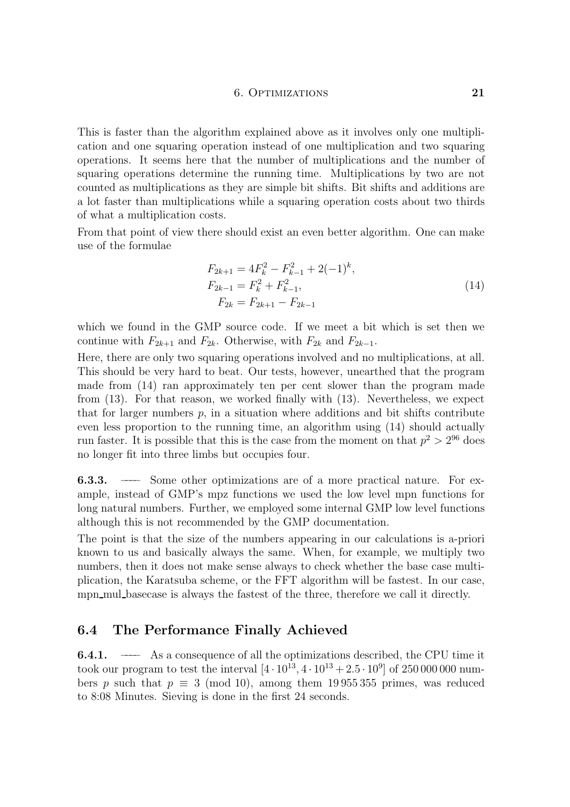This is faster than the algorithm explained above as it involves only one multiplication and one squaring operation instead of one multiplication and two squaring operation as It seems here that the number of multiplications and the number of squaring operations determine the running time. Multiplications by two are not counted as multiplications as they are simple bit shifts. Bit shifts and additions are a lot faster than multiplications while a squaring operation costs about two thirds. of what a multiplication costs.

From that point of view there should exist an even better algorithm. One can make use of the formulae

$$
F_{2k+1} = 4F_k^2 - F_{k-1}^2 + 2(-1)^k,
$$
  
\n
$$
F_{2k-1} = F_k^2 + F_{k-1}^2,
$$
  
\n
$$
F_{2k} = F_{2k+1} - F_{2k-1}
$$
\n(14)

which we found in the GMP source code. If we meet a bit which is set then we continue with  $F_{2k+1}$  and  $F_{2k}$ . Otherwise, with  $F_{2k}$  and  $F_{2k-1}$ .

Here, there are only two squaring operations involved and no multiplications, at all. This should be very hard to beat. Our tests, however, unearthed that the program made from  $(14)$  ran approximately ten per cent slower than the program made from  $(13)$ . For that reason, we worked finally with  $(13)$ . Nevertheless, we expect that for larger numbers  $p$ , in a situation where additions and bit shifts contribute even less proportion to the running time, an algorithm using  $(14)$  should actually even less proportion to the running time, an algorithm using  $(1-)$  should actually run faster. It is possible that this is the case from the moment on that  $p^2 > 2^{10}$  does<br>no longer fit into three limbs but occupies four no longer fit into three limbs but occupies four.

**6.3.3.** ——– Some other optimizations are of a more practical nature. For example, instead of GMP's mpz functions we used the low level mpn functions for long natural numbers. Further, we employed some internal GMP low level functions although this is not recommended by the GMP documentation.

The point is that the size of the numbers appearing in our calculations is a-priori known to us and basically always the same. When, for example, we multiply two numbers, then it does not make sense always to check whether the base case multiplication, the Karatsuba scheme, or the FFT algorithm will be fastest. In our case, plication, the Francisca scheme, or the FFT algorithm will be fasted. In our case,<br>mpp mul becoese is elweve the festest of the three, therefore we call it directly. mpn mul basecase is always the fastest of the three, therefore we call it directly.

## $\overline{\mathcal{L}}$

6.4.1. –––– As a consequence of all the optimizations described, the CPU time it bers p such that  $p \equiv 3 \pmod{10}$ , among them 19955355 primes, was reduced to 8:08 Minutes. Sieving is done in the first 24 seconds.  $\frac{1}{\sqrt{2}}$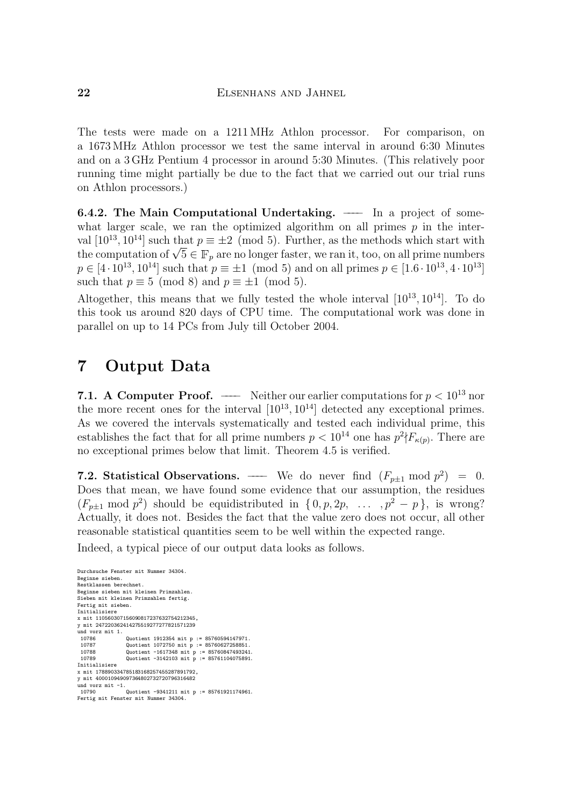The tests were made on a 1211 MHz Athlon processor. For comparison, on a 1673 MHz Athlon processor we test the same interval in around 6:30 Minutes and on a  $3\text{ GHz}$  Pentium 4 processor in around 5:30 Minutes. (This relatively poor running time might partially be due to the fact that we carried out our trial runs  $\alpha$  at  $\beta$  that  $\alpha$  is the fact that we can the fact that we can the fact that we can the fact that  $\alpha$  runs  $\alpha$ on Athlon processors.)

**6.4.2. The Main Computational Undertaking.** —— In a project of somewhat larger scale, we ran the optimized algorithm on all primes  $p$  in the interval  $[10^{13}, 10^{14}]$  such that  $p \equiv \pm 2 \pmod{5}$ . Further, as the methods which start with val [10<sup>13</sup>, 10] such that  $p = \pm 2$  (mod 5). Further, as the methods which start with<br>the computation of  $\sqrt{5} \in \mathbb{F}$ , are no longer faster, we can it, too, on all prime numbers the computation of  $\sqrt{5} \in \mathbb{F}_p$  are no longer faster, we ran it, too, on all prime numbers  $n \in [4, 10^{13}, 10^{14}]$  such that  $n = \pm 1 \pmod{5}$  and on all primes  $n \in [1, 6, 10^{13}, 4, 10^{13}]$  $p \in [4 \cdot 10^{13}, 10^{14}]$  such that  $p \equiv \pm 1 \pmod{5}$  and on all primes  $p \in [1.6 \cdot 10^{13}, 4 \cdot 10^{13}]$ <br>such that  $p \equiv 5 \pmod{8}$  and  $p \equiv \pm 1 \pmod{5}$ .

 $s = \frac{1}{2}$   $s = \frac{1}{1}$  (mod  $s = \frac{1}{1}$  (mod  $s = \frac{1}{1}$ Altogether, this means that we fully tested the whole interval  $[10^{\circ}, 10^{\circ}]$ . To do<br>this took us around 820 days of CPH time. The computational work was done in this took us around 820 days of CPU time. The computational work was done in parallel on up to 14 PCs from July till October 2004. parallel on up to 14 PCs from July till October 2004.

# 7 Output Data

**7.1. A Computer Proof.** —— Neither our earlier computations for  $p < 10^{13}$  nor the more recent ones for the interval  $[10^{13}, 10^{14}]$  detected any exceptional primes. As we covered the intervals systematically and tested each individual prime, this  $\frac{1}{2}$  extendions the fact that for all prime numbers  $n < 10^{14}$  one has  $n^2kE$ . There are establishes the fact that for all prime numbers  $p < 10^{-4}$  one has  $p^{-1}F_{\kappa}(p)$ . There are<br>no exceptional primes below that limit. Theorem 4.5 is verified no exceptional primes below that limit. Theorem 4.5 is verified.

**7.2. Statistical Observations.** —— We do never find  $(F_{p\pm 1} \mod p^2) = 0$ .<br>Does that mean, we have found some evidence that our assumption, the residues  $(F_{p\pm 1} \mod p^2)$  should be equidistributed in  $\{0, p, 2p, \ldots, p^2 - p\}$ , is wrong? Actually, it does not. Besides the fact that the value zero does not occur, all other reasonable statistical quantities seem to be well within the expected range.

reasonable statistical quantities seem to be well within the expected range. In the  $\mathbf{y}_1$  and  $\mathbf{y}_2$  piece of our output data looks as follows.

```
Durchsuche Fenster mit Nummer 34304.
Restklassen berechnet.
Beginne sieben mit kleinen Primzahlen
Sieben mit kleinen Primzahlen fertig.
Fertig mit sieben.
Initialisiere
x mit 110560307156090817237632754212345.
v mit 247220362414275519277277821571239
y mit 247220362414275519277277821571239
und vorz mit 1.
 10786 (Quotient 1912354 mit p := 85760594147971.<br>10787 (Quotient 1072750 mit p := 85760627258851.
  10787 Quotient 1072750 mit p := 85760627258851.
10788 Quotient -1617348 mit p := 85760847493241.
10789 Quotient -3142103 mit p := 85761104075891.
---------------<br>x mit 178890334785183168257455287891792,<br>v mit 400010949097364802732720796316482
y mit 400010949097364802732720796316482
und vorz mit -1.
10790 Duotient -934121 mit produkten -934304.<br>Fertig mit Fenster mit Nummer 34304.
```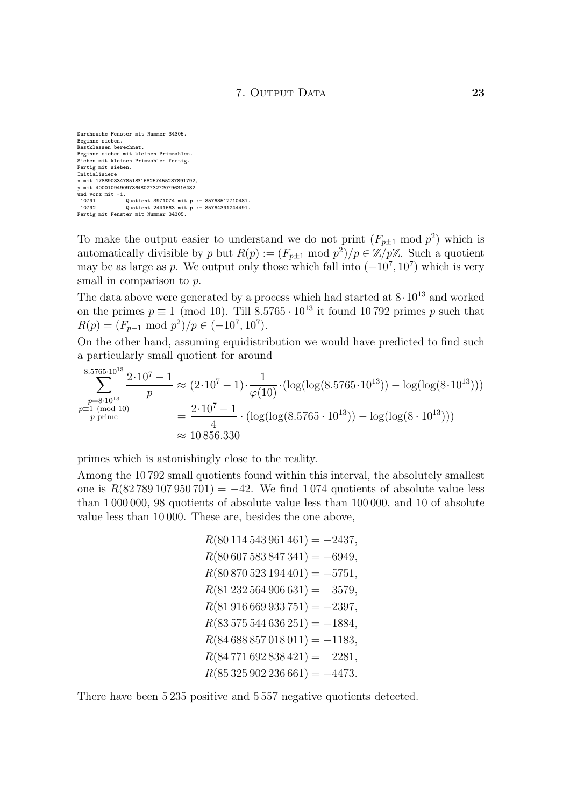Durchsuche Fenster mit Nummer 34305. Restklassen berechnet. Beginne sieben mit kleinen Primzahlen. Sieben mit kleinen Primzahlen fertig. Fertig mit sieben. Initialisiere x mit 178890334785183168257455287891792,<br>u mit 100010919903361802732720796316182 y<br>und vorz mit -1.  $10791$  Quotient 3971074 mit p := 85763512710481. 10792 Quotient 2441663 mit p := 85764391244491. Fertig mit Fenster mit Nummer 34305.

To make the output easier to understand we do not print  $(F_{p\pm 1} \mod p^2)$  which is automatically divisible by p but  $R(p) := (F_{p\pm 1} \mod p^2)/p \in \mathbb{Z}/p\mathbb{Z}$ . Such a quotient automatically divisible by p but  $R(p) := (F_{p\pm 1} \mod p)/p \in \mathbb{Z}/p\mathbb{Z}$ . Such a quotient<br>may be as large as n. We output only those which fall into  $(-10^7, 10^7)$  which is very may be as large as p. We output only those which fall into (−10°, 10°) which is very<br>small in comparison to n small in comparison to  $p$ .<br>The data above were generated by a process which had started at  $8 \cdot 10^{13}$  and worked

The data above were generated by a process which had started at  $8.10^{-3}$  and worked<br>on the primes  $n \equiv 1 \pmod{10}$ . Till 8.5765,  $10^{13}$  it found 10.799 primes n such that on the primes  $p = 1 \pmod{10}$ . The 8.5765 · 10<sup>1</sup> it found 10.792 primes p such that  $R(n) = (F \pmod{n^2})/n \in (-10^{7} \; 10^{7})$  $R(p) = (F_{p-1} \mod p^2)/p \in (-10^7, 10^7)$ .<br>On the other hand, assuming equidistribution we would have predicted to find such

a particularly small quotient for around  $\frac{1}{2}$  and  $\frac{1}{2}$  around  $\frac{1}{2}$  around for around for around for around  $\frac{1}{2}$ 

$$
\sum_{\substack{p=8.10^{13} \\ p \equiv 1 \pmod{10} \\ p \text{ prime}}}^{8.5765 \cdot 10^{13}} \frac{2 \cdot 10^7 - 1}{p} \approx (2 \cdot 10^7 - 1) \cdot \frac{1}{\varphi(10)} \cdot (\log(\log(8.5765 \cdot 10^{13})) - \log(\log(8 \cdot 10^{13})))
$$
  
= 
$$
\frac{2 \cdot 10^7 - 1}{4} \cdot (\log(\log(8.5765 \cdot 10^{13})) - \log(\log(8 \cdot 10^{13})))
$$
  

$$
\approx 10\,856.330
$$

primes which is astonishingly close to the reality.<br>Among the 10792 small quotients found within this interval, the absolutely smallest one is  $R(82789107950701) = -42$ . We find 1074 quotients of absolute value less than  $1000000$ , 98 quotients of absolute value less than  $100000$ , and  $10$  of absolute  $t_{\text{total}}$  absolute value less than 10,000. These are besides the one above value less than 10 000. These are, besides the one above,

```
R(80\,114\,543\,961\,461) = -2437,<br>R(80\,607\,583\,847\,341) = -6949,R(80\,870\,523\,194\,401) = -5751,R(81\,232\,564\,906\,631) = 3579,R(81916669933751) = -2397,R(83\,575\,544\,636\,251) = -1884,R(84\,688\,857\,018\,011) = -1183,R(84 771 692 838 421) = 2281,R(87.885 000.996 .661) = 4479R(35, 325, 325, 326)
```
There have been 5 235 positive and 5 557 negative quotients detected.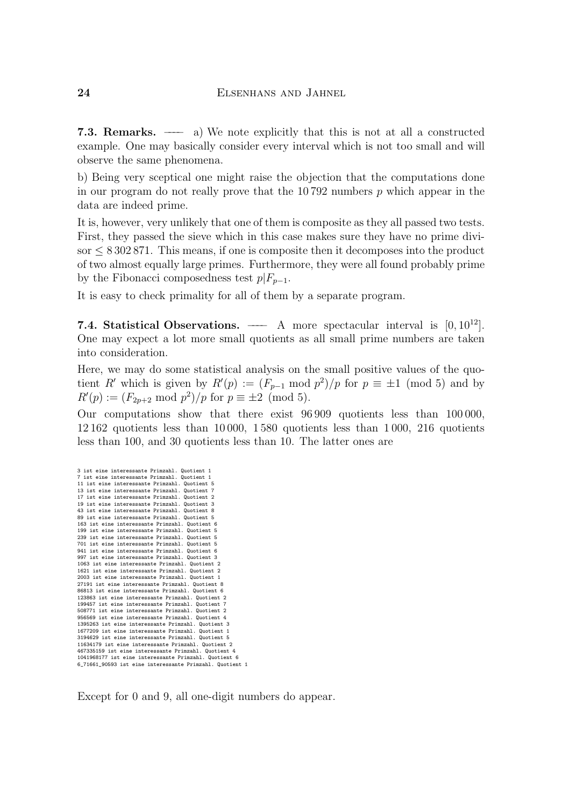7.3. Remarks. ——––– a) We note explicitly that this is not at all a constructed example. One may basically consider every interval which is not too small and will observe the same phenomena.

b) Being very sceptical one might raise the objection that the computations done in our program do not really prove that the 10792 numbers  $p$  which appear in the data are indeed prime.

It is, however, very unlikely that one of them is composite as they all passed two tests. First, they passed the sieve which in this case makes sure they have no prime divi- $\text{for } \leq 8302871$ . This means, if one is composite then it decomposes into the product of two almost equally large primes. Furthermore, they were all found probably prime by the Fibonacci composedness test  $p|F_{p-1}$ .

 $\mathbf{b}$  the Fibonacci composedness test  $p| = p-1$ . It is easy to check primality for all of them by a separate program.

7.4. Statistical Observations. ——– A more spectacular interval is  $[0, 10^{12}]$ .<br>One may expect a lot more small quotients as all small prime numbers are taken into consideration.

Here, we may do some statistical analysis on the small positive values of the quo-Here, which is given by  $R'(n) = (F \mod n^2)/n$  for  $n = \pm 1 \pmod{5}$  and by tient R which is given by R<br> $R'(n) := (F_{\alpha}) \mod n^2 / n$  for  $(p) := (F_{p-1} \mod p)/p$  for  $p = \pm 1 \pmod{3}$  and by<br> $p = \pm 2 \pmod{5}$  $R(p) := (F_{2p+2} \mod p^2)/p$  for  $p = \pm 2 \pmod{3}$ .

Our computations show that there exist  $96\,909$  quotients less than 100000, 12162 quotients less than 10000, 1580 quotients less than 1000, 216 quotients  $\frac{1}{2}$  less than 100, and 30 quotients less than 10. The latter ones are less than 100, and 30 quotients less than 10. The latter ones are

| 3 ist eine interessante Primzahl. Quotient 1             |
|----------------------------------------------------------|
| 7 ist eine interessante Primzahl. Quotient 1             |
| 11 ist eine interessante Primzahl. Quotient 5            |
| 13 ist eine interessante Primzahl. Quotient 7            |
| 17 ist eine interessante Primzahl. Quotient 2            |
| 19 ist eine interessante Primzahl. Quotient 3            |
| 43 ist eine interessante Primzahl. Quotient 8            |
| 89 ist eine interessante Primzahl. Quotient 5            |
| 163 ist eine interessante Primzahl. Quotient 6           |
| 199 ist eine interessante Primzahl. Quotient 5           |
| 239 ist eine interessante Primzahl. Quotient 5           |
| 701 ist eine interessante Primzahl. Quotient 5           |
| 941 ist eine interessante Primzahl. Quotient 6           |
| 997 ist eine interessante Primzahl. Quotient 3           |
| 1063 ist eine interessante Primzahl. Quotient 2          |
| 1621 ist eine interessante Primzahl. Quotient 2          |
| 2003 ist eine interessante Primzahl. Quotient 1          |
| 27191 ist eine interessante Primzahl. Quotient 8         |
| 86813 ist eine interessante Primzahl. Quotient 6         |
| 123863 ist eine interessante Primzahl. Quotient 2        |
| 199457 ist eine interessante Primzahl. Quotient 7        |
| 508771 ist eine interessante Primzahl. Quotient 2        |
| 956569 ist eine interessante Primzahl. Quotient 4        |
| 1395263 ist eine interessante Primzahl. Quotient 3       |
| 1677209 ist eine interessante Primzahl. Quotient 1       |
| 3194629 ist eine interessante Primzahl. Quotient 5       |
| 11634179 ist eine interessante Primzahl. Quotient 2      |
| 467335159 ist eine interessante Primzahl. Quotient 4     |
| 1041968177 ist eine interessante Primzahl. Quotient 6    |
| 6_71661_90593 ist eine interessante Primzahl. Quotient 1 |
|                                                          |
|                                                          |

 $\mathbf{F}_{\mathbf{r}}$  for  $\mathbf{r}$  and  $\mathbf{r}$  all one-digit numbers do appear.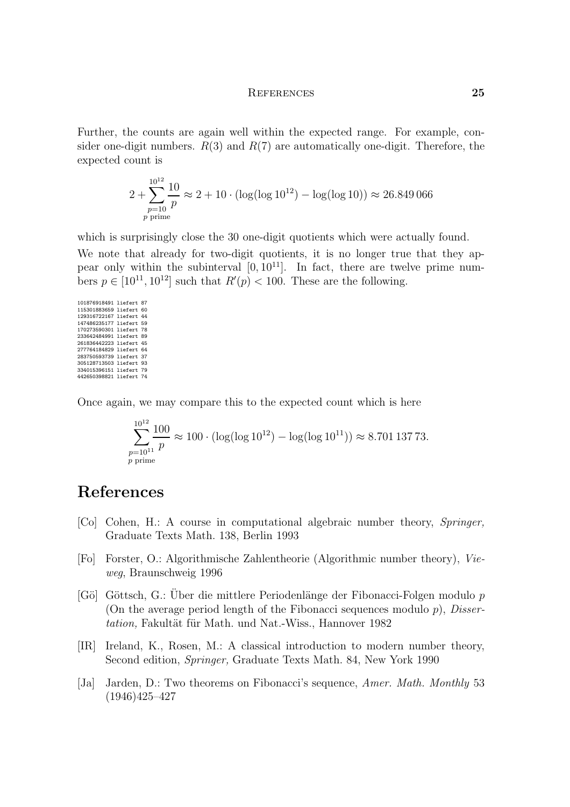### References 25

Further, the counts are again well within the expected range. For example, con $s$  der one-digital numbers. Respectively, therefore, therefore, therefore, therefore, therefore, therefore, therefore, therefore, therefore, therefore, therefore, therefore, therefore, the state  $\frac{1}{2}$ expected count is

$$
2 + \sum_{\substack{p=10 \ p \text{ prime}}}^{10^{12}} \frac{10}{p} \approx 2 + 10 \cdot (\log(\log 10^{12}) - \log(\log 10)) \approx 26.849\,066
$$

which is surprisingly close the 30 one-digit quotients which were actually found.<br>We note that already for two-digit quotients, it is no longer true that they ap-

pear only within the subinterval  $[0, 10^{11}]$ . In fact, there are twelve prime numpear only within the subinterval  $[0, 10]$ . In fact, there are twelve prime num-<br>bors  $n \in [10^{11} 10^{12}]$  such that  $R'(n) < 100$ . Those are the following bers  $p \in [10^{-5}, 10^{-5}]$  such that  $R(p) < 100$ . These are the following.

Once again, we may compare this to the expected count which is here

$$
\sum_{\substack{p=10^{11} \\ p \text{ prime}}}^{10^{12}} \frac{100}{p} \approx 100 \cdot (\log(\log 10^{12}) - \log(\log 10^{11})) \approx 8.701\,137\,73.
$$

### References

- $C$ raduate Toxts Math 138 Borlin 1003 Graduate Texts Math. 138, Berlin 1993
- $\frac{1}{2}$  Forster, O.: Algorithmische Zahlentheorie (Algorithmic number theory), Vie- $\mathbb{R}^n$
- [Gö] Göttsch, G.: Uber die mittlere Periodenlänge der Fibonacci-Folgen modulo  $p$  (On the average period length of the Fibonacci sequences modulo  $p$ ), *Disser*tation, Fakultät für Math. und Nat.-Wiss., Hannover 1982 tation, Fakultur fur Furnit and Nat.-Wiss., Hannover 1982
- $\frac{1}{100}$  Ireland,  $\frac{1}{100}$ , Theorem is a constant introduction to modern number theory,  $S_{\text{S}}$  and  $S_{\text{S}}$  ,  $S_{\text{S}}$  math. 84,  $S_{\text{S}}$  ,  $S_{\text{S}}$  1990  $S_{\text{S}}$
- [Ja] Jarden, D.: Two theorems on Fibonacci's sequence, *Amer. Math. Monthly* 53 (1946) $425-427$  $(1947)$